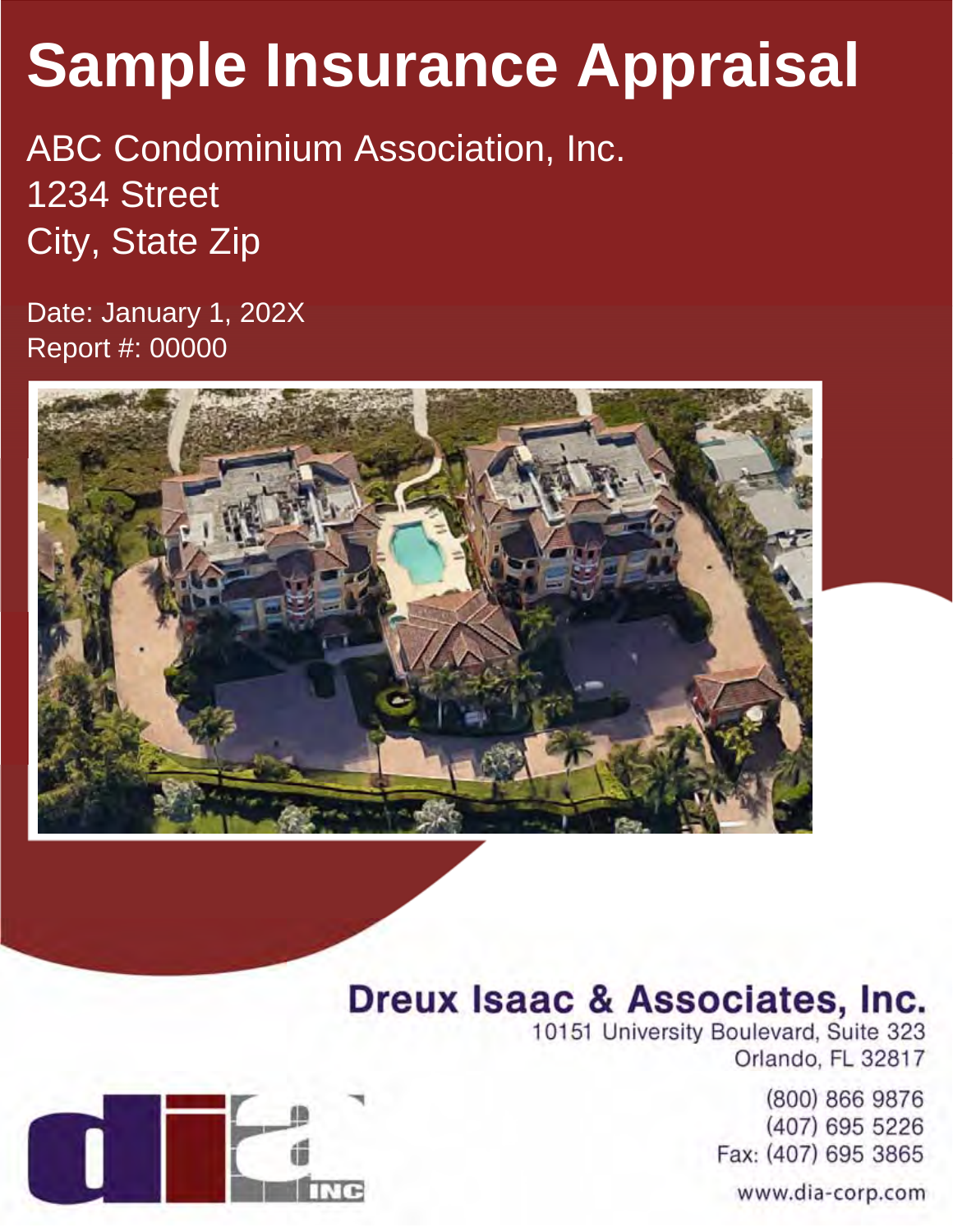# **Sample Insurance Appraisal**

ABC Condominium Association, Inc. 1234 Street City, State Zip

Date: January 1, 202X Report #: 00000



## **Dreux Isaac & Associates, Inc.**

10151 University Boulevard, Suite 323 Orlando, FL 32817

> (800) 866 9876 (407) 695 5226 Fax: (407) 695 3865

www.dia-corp.com

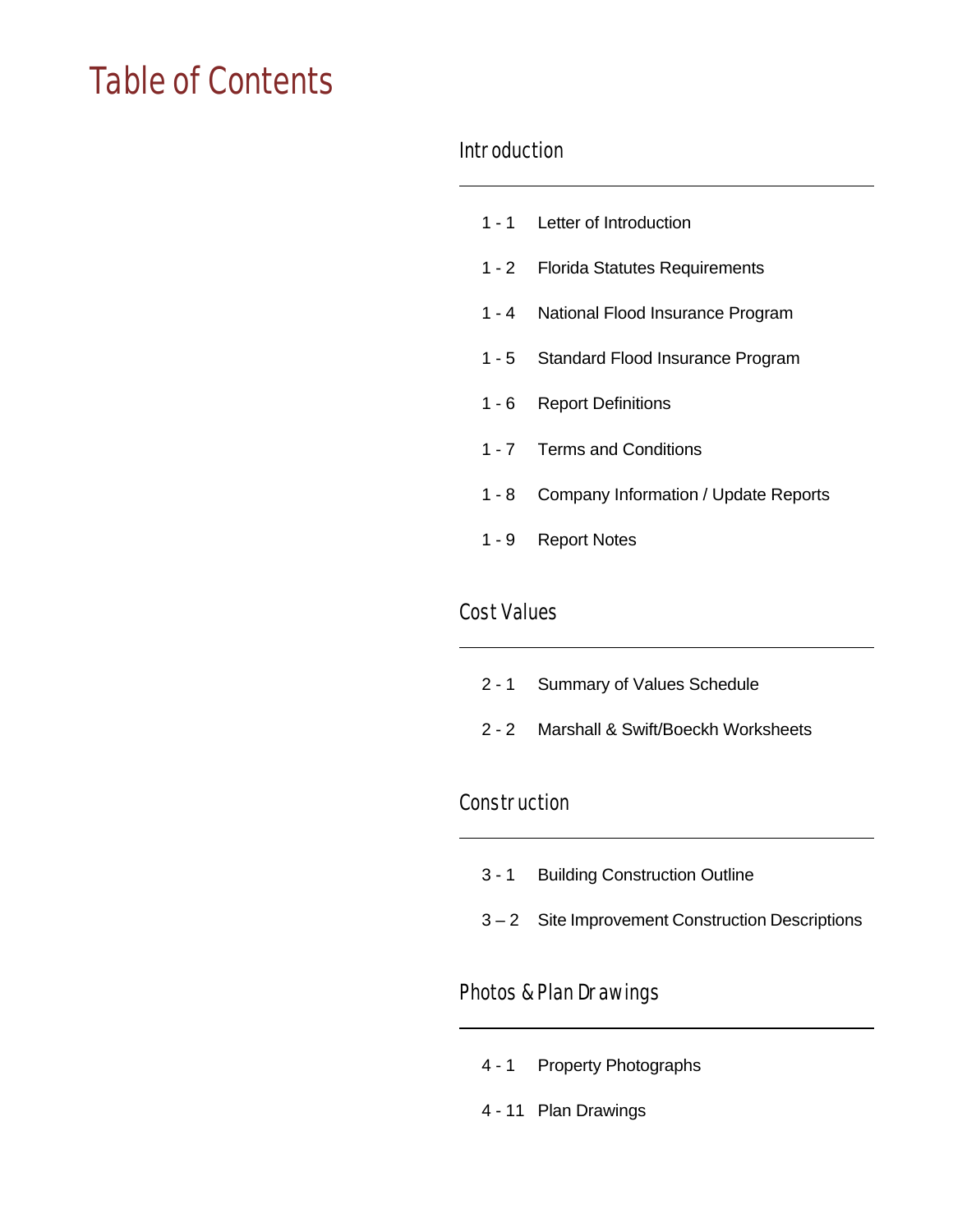## Table of Contents

### Introduction

 $\overline{a}$ 

|       | 1 - 1 Letter of Introduction           |
|-------|----------------------------------------|
|       | 1 - 2 Florida Statutes Requirements    |
|       | 1 - 4 National Flood Insurance Program |
|       | 1 - 5 Standard Flood Insurance Program |
|       | 1 - 6 Report Definitions               |
|       | 1 - 7 Terms and Conditions             |
| 1 - 8 | Company Information / Update Reports   |
|       | 1 - 9 Report Notes                     |
|       |                                        |

### Cost Values

 $\overline{a}$ 

 $\overline{a}$ 

 $\overline{a}$ 

| 2 - 1 |  | <b>Summary of Values Schedule</b> |  |
|-------|--|-----------------------------------|--|
|-------|--|-----------------------------------|--|

2 - 2 Marshall & Swift/Boeckh Worksheets

### Construction

- 3 1 Building Construction Outline
- 3 2 Site Improvement Construction Descriptions

#### Photos & Plan Drawings

- 4 1 Property Photographs
- 4 11 Plan Drawings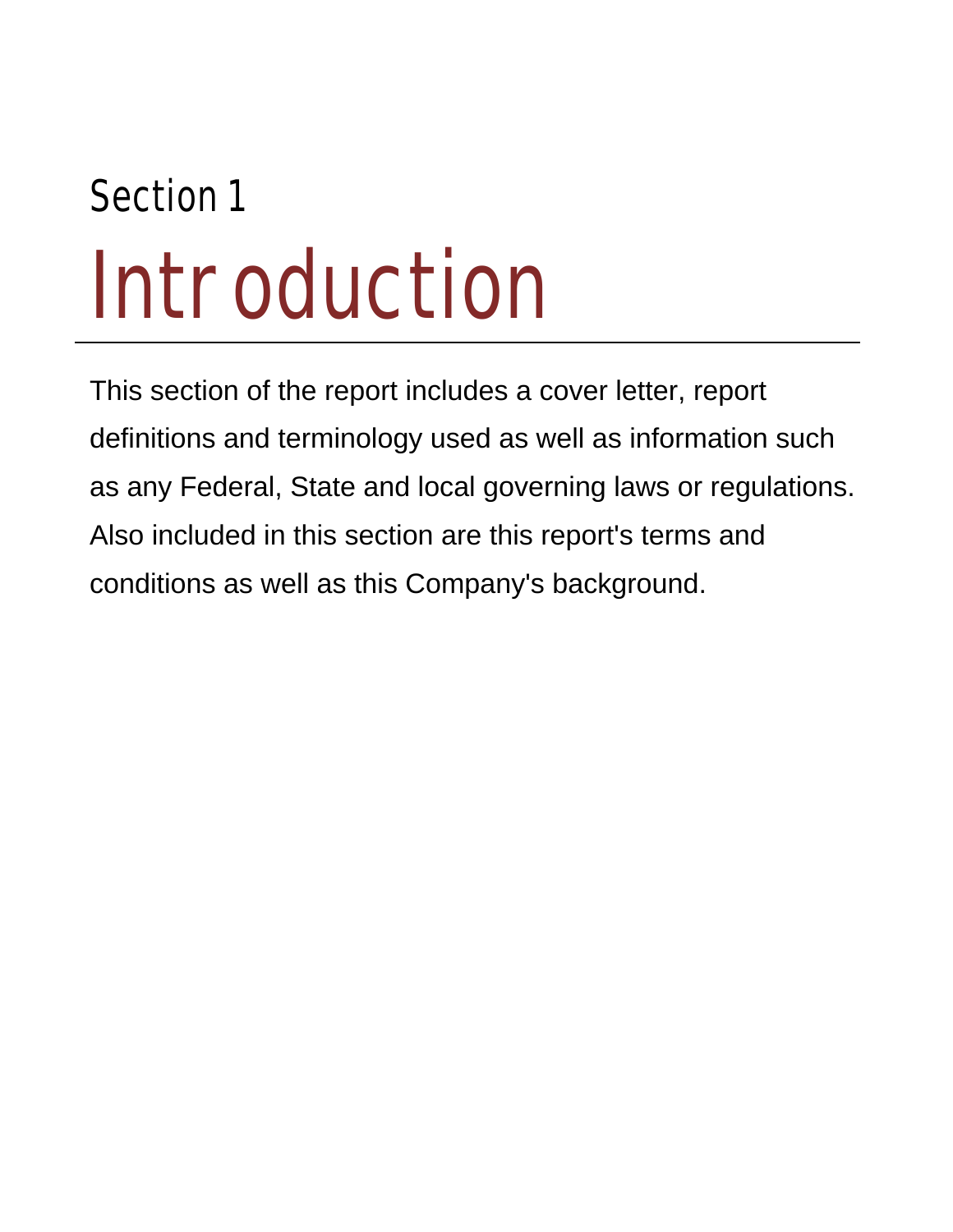# Section 1 Introduction

This section of the report includes a cover letter, report definitions and terminology used as well as information such as any Federal, State and local governing laws or regulations. Also included in this section are this report's terms and conditions as well as this Company's background.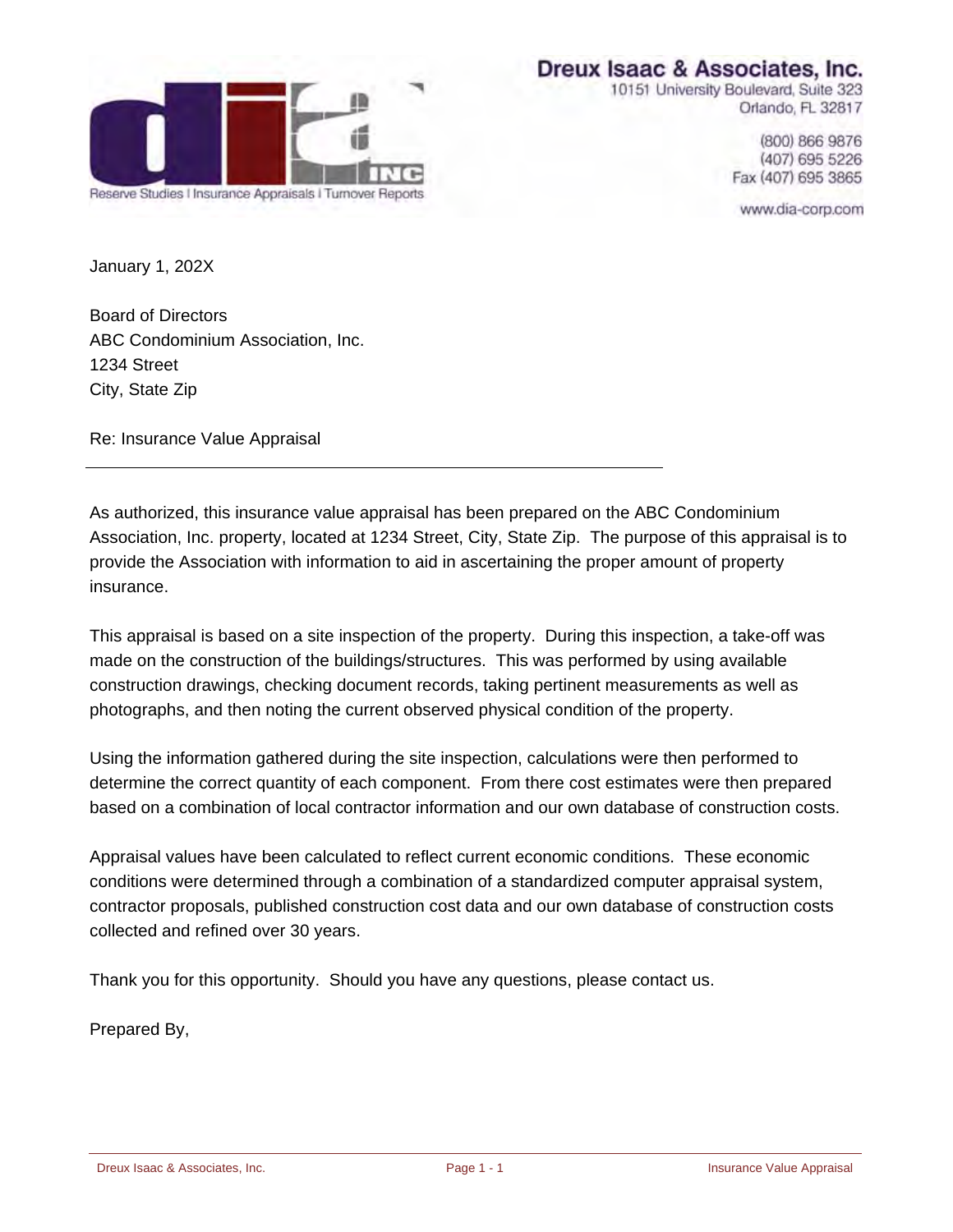

Dreux Isaac & Associates, Inc.

10151 University Boulevard, Suite 323 Orlando, FL 32817

> (800) 866 9876 (407) 695 5226 Fax (407) 695 3865

www.dia-corp.com

January 1, 202X

Board of Directors ABC Condominium Association, Inc. 1234 Street City, State Zip

Re: Insurance Value Appraisal

As authorized, this insurance value appraisal has been prepared on the ABC Condominium Association, Inc. property, located at 1234 Street, City, State Zip. The purpose of this appraisal is to provide the Association with information to aid in ascertaining the proper amount of property insurance.

This appraisal is based on a site inspection of the property. During this inspection, a take-off was made on the construction of the buildings/structures. This was performed by using available construction drawings, checking document records, taking pertinent measurements as well as photographs, and then noting the current observed physical condition of the property.

Using the information gathered during the site inspection, calculations were then performed to determine the correct quantity of each component. From there cost estimates were then prepared based on a combination of local contractor information and our own database of construction costs.

Appraisal values have been calculated to reflect current economic conditions. These economic conditions were determined through a combination of a standardized computer appraisal system, contractor proposals, published construction cost data and our own database of construction costs collected and refined over 30 years.

Thank you for this opportunity. Should you have any questions, please contact us.

Prepared By,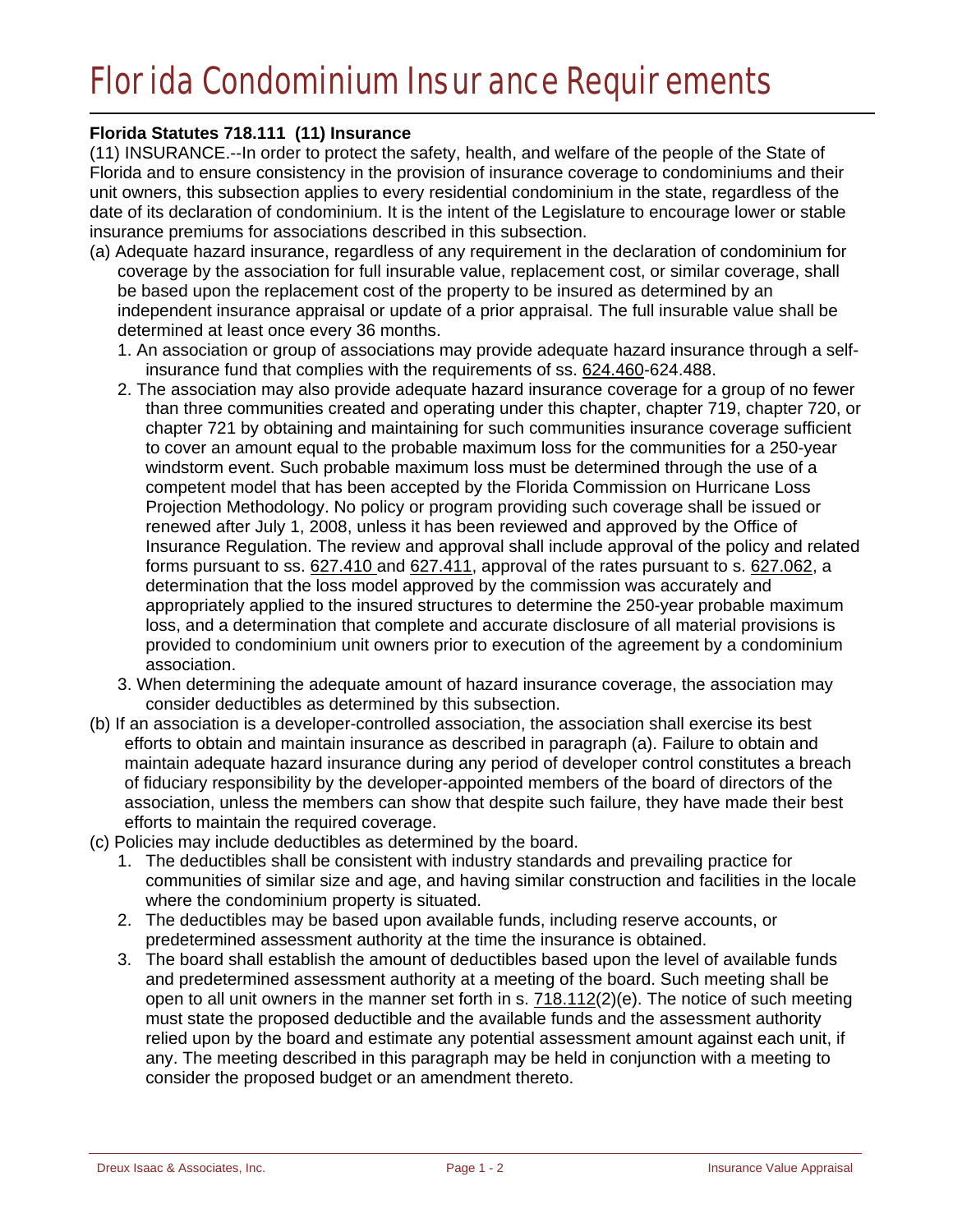## Florida Condominium Insurance Requirements

#### **Florida Statutes 718.111 (11) Insurance**

(11) INSURANCE.--In order to protect the safety, health, and welfare of the people of the State of Florida and to ensure consistency in the provision of insurance coverage to condominiums and their unit owners, this subsection applies to every residential condominium in the state, regardless of the date of its declaration of condominium. It is the intent of the Legislature to encourage lower or stable insurance premiums for associations described in this subsection.

- (a) Adequate hazard insurance, regardless of any requirement in the declaration of condominium for coverage by the association for full insurable value, replacement cost, or similar coverage, shall be based upon the replacement cost of the property to be insured as determined by an independent insurance appraisal or update of a prior appraisal. The full insurable value shall be determined at least once every 36 months.
	- 1. An association or group of associations may provide adequate hazard insurance through a selfinsurance fund that complies with the requirements of ss. 624.460-624.488.
	- 2. The association may also provide adequate hazard insurance coverage for a group of no fewer than three communities created and operating under this chapter, chapter 719, chapter 720, or chapter 721 by obtaining and maintaining for such communities insurance coverage sufficient to cover an amount equal to the probable maximum loss for the communities for a 250-year windstorm event. Such probable maximum loss must be determined through the use of a competent model that has been accepted by the Florida Commission on Hurricane Loss Projection Methodology. No policy or program providing such coverage shall be issued or renewed after July 1, 2008, unless it has been reviewed and approved by the Office of Insurance Regulation. The review and approval shall include approval of the policy and related forms pursuant to ss. 627.410 and 627.411, approval of the rates pursuant to s. 627.062, a determination that the loss model approved by the commission was accurately and appropriately applied to the insured structures to determine the 250-year probable maximum loss, and a determination that complete and accurate disclosure of all material provisions is provided to condominium unit owners prior to execution of the agreement by a condominium association.
	- 3. When determining the adequate amount of hazard insurance coverage, the association may consider deductibles as determined by this subsection.
- (b) If an association is a developer-controlled association, the association shall exercise its best efforts to obtain and maintain insurance as described in paragraph (a). Failure to obtain and maintain adequate hazard insurance during any period of developer control constitutes a breach of fiduciary responsibility by the developer-appointed members of the board of directors of the association, unless the members can show that despite such failure, they have made their best efforts to maintain the required coverage.
- (c) Policies may include deductibles as determined by the board.
	- 1. The deductibles shall be consistent with industry standards and prevailing practice for communities of similar size and age, and having similar construction and facilities in the locale where the condominium property is situated.
	- 2. The deductibles may be based upon available funds, including reserve accounts, or predetermined assessment authority at the time the insurance is obtained.
	- 3. The board shall establish the amount of deductibles based upon the level of available funds and predetermined assessment authority at a meeting of the board. Such meeting shall be open to all unit owners in the manner set forth in s. 718.112(2)(e). The notice of such meeting must state the proposed deductible and the available funds and the assessment authority relied upon by the board and estimate any potential assessment amount against each unit, if any. The meeting described in this paragraph may be held in conjunction with a meeting to consider the proposed budget or an amendment thereto.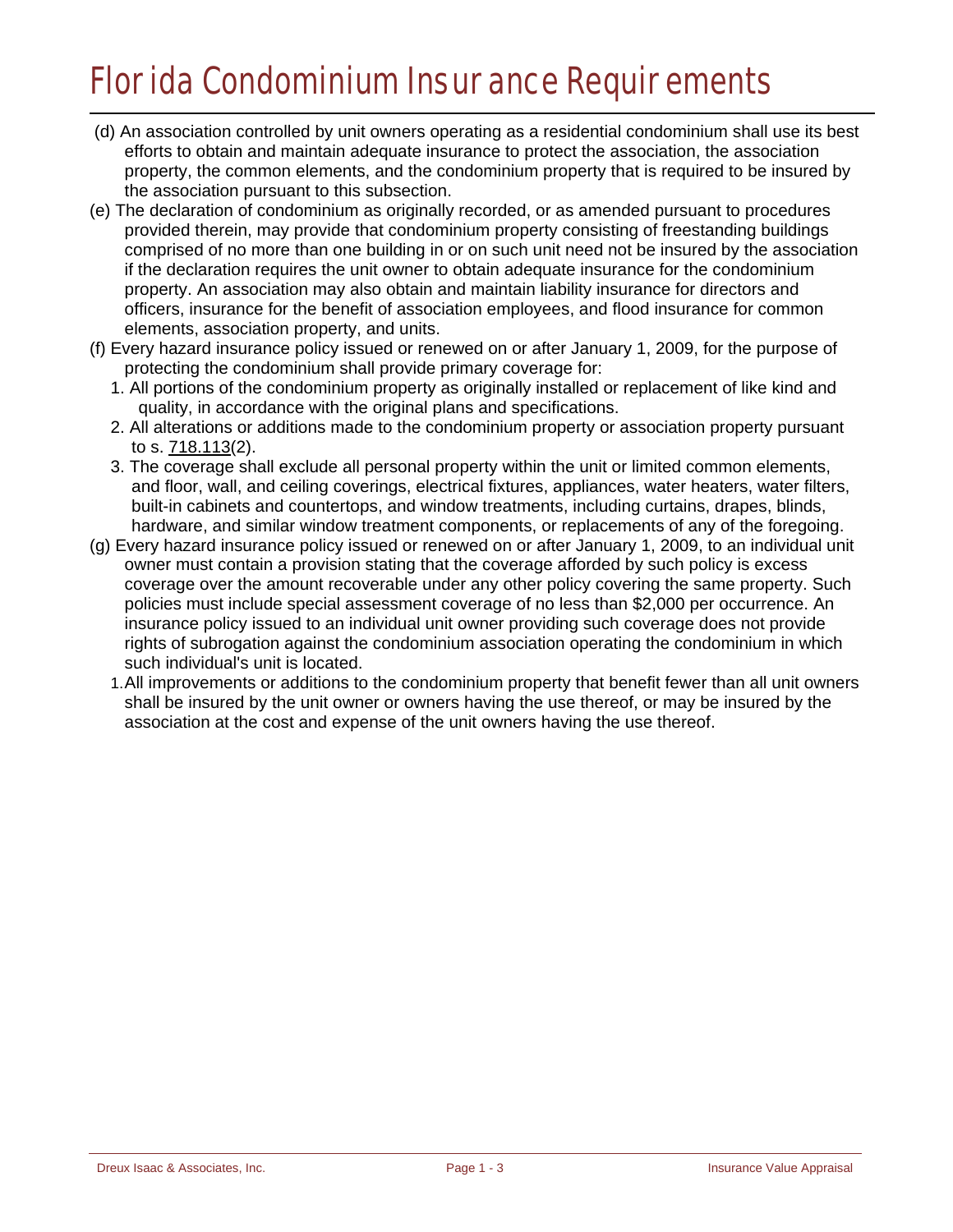## Florida Condominium Insurance Requirements

- (d) An association controlled by unit owners operating as a residential condominium shall use its best efforts to obtain and maintain adequate insurance to protect the association, the association property, the common elements, and the condominium property that is required to be insured by the association pursuant to this subsection.
- (e) The declaration of condominium as originally recorded, or as amended pursuant to procedures provided therein, may provide that condominium property consisting of freestanding buildings comprised of no more than one building in or on such unit need not be insured by the association if the declaration requires the unit owner to obtain adequate insurance for the condominium property. An association may also obtain and maintain liability insurance for directors and officers, insurance for the benefit of association employees, and flood insurance for common elements, association property, and units.
- (f) Every hazard insurance policy issued or renewed on or after January 1, 2009, for the purpose of protecting the condominium shall provide primary coverage for:
	- 1. All portions of the condominium property as originally installed or replacement of like kind and quality, in accordance with the original plans and specifications.
	- 2. All alterations or additions made to the condominium property or association property pursuant to s. 718.113(2).
	- 3. The coverage shall exclude all personal property within the unit or limited common elements, and floor, wall, and ceiling coverings, electrical fixtures, appliances, water heaters, water filters, built-in cabinets and countertops, and window treatments, including curtains, drapes, blinds, hardware, and similar window treatment components, or replacements of any of the foregoing.
- (g) Every hazard insurance policy issued or renewed on or after January 1, 2009, to an individual unit owner must contain a provision stating that the coverage afforded by such policy is excess coverage over the amount recoverable under any other policy covering the same property. Such policies must include special assessment coverage of no less than \$2,000 per occurrence. An insurance policy issued to an individual unit owner providing such coverage does not provide rights of subrogation against the condominium association operating the condominium in which such individual's unit is located.
	- 1. All improvements or additions to the condominium property that benefit fewer than all unit owners shall be insured by the unit owner or owners having the use thereof, or may be insured by the association at the cost and expense of the unit owners having the use thereof.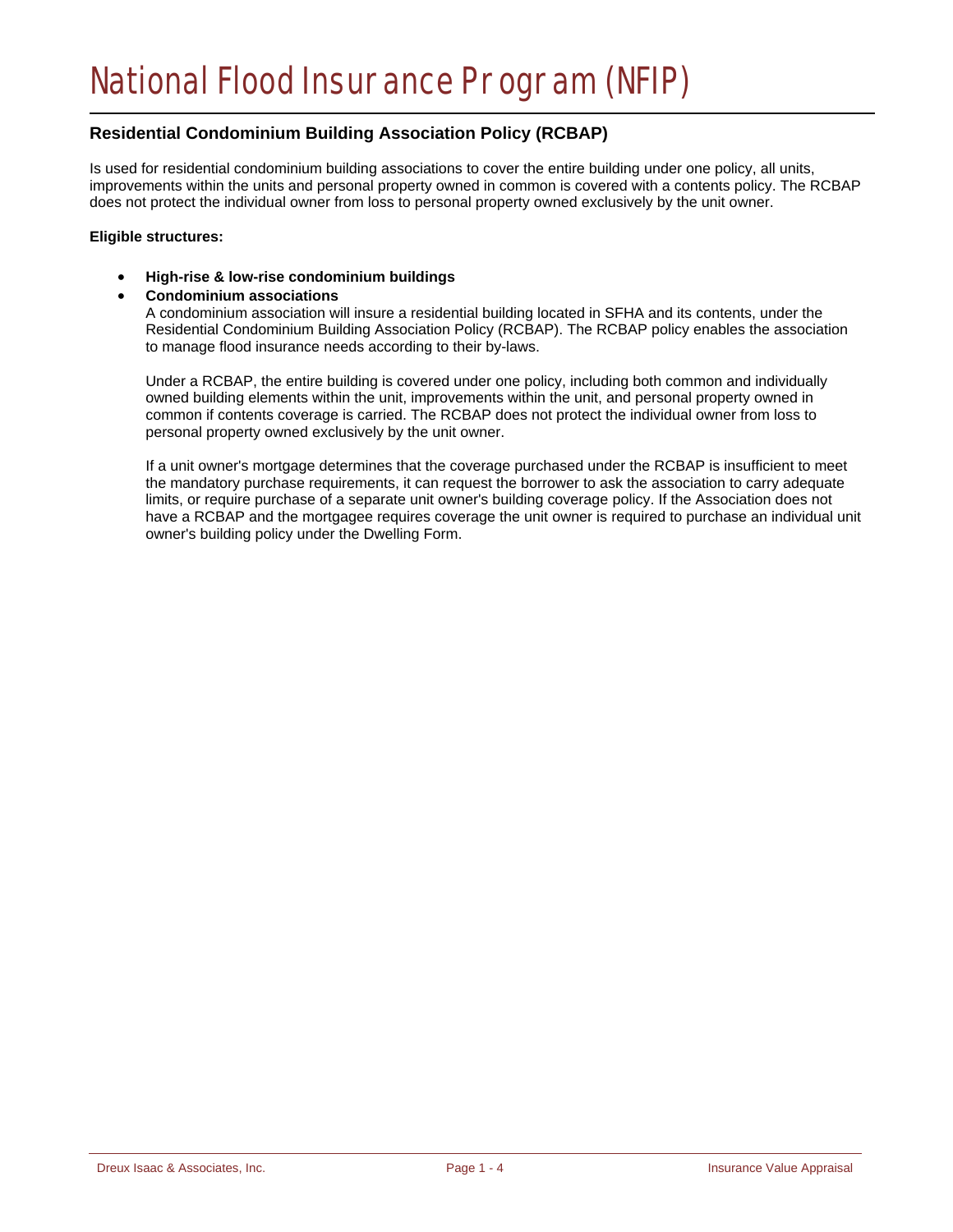#### **Residential Condominium Building Association Policy (RCBAP)**

Is used for residential condominium building associations to cover the entire building under one policy, all units, improvements within the units and personal property owned in common is covered with a contents policy. The RCBAP does not protect the individual owner from loss to personal property owned exclusively by the unit owner.

#### **Eligible structures:**

• **High-rise & low-rise condominium buildings** 

#### • **Condominium associations**

A condominium association will insure a residential building located in SFHA and its contents, under the Residential Condominium Building Association Policy (RCBAP). The RCBAP policy enables the association to manage flood insurance needs according to their by-laws.

Under a RCBAP, the entire building is covered under one policy, including both common and individually owned building elements within the unit, improvements within the unit, and personal property owned in common if contents coverage is carried. The RCBAP does not protect the individual owner from loss to personal property owned exclusively by the unit owner.

If a unit owner's mortgage determines that the coverage purchased under the RCBAP is insufficient to meet the mandatory purchase requirements, it can request the borrower to ask the association to carry adequate limits, or require purchase of a separate unit owner's building coverage policy. If the Association does not have a RCBAP and the mortgagee requires coverage the unit owner is required to purchase an individual unit owner's building policy under the Dwelling Form.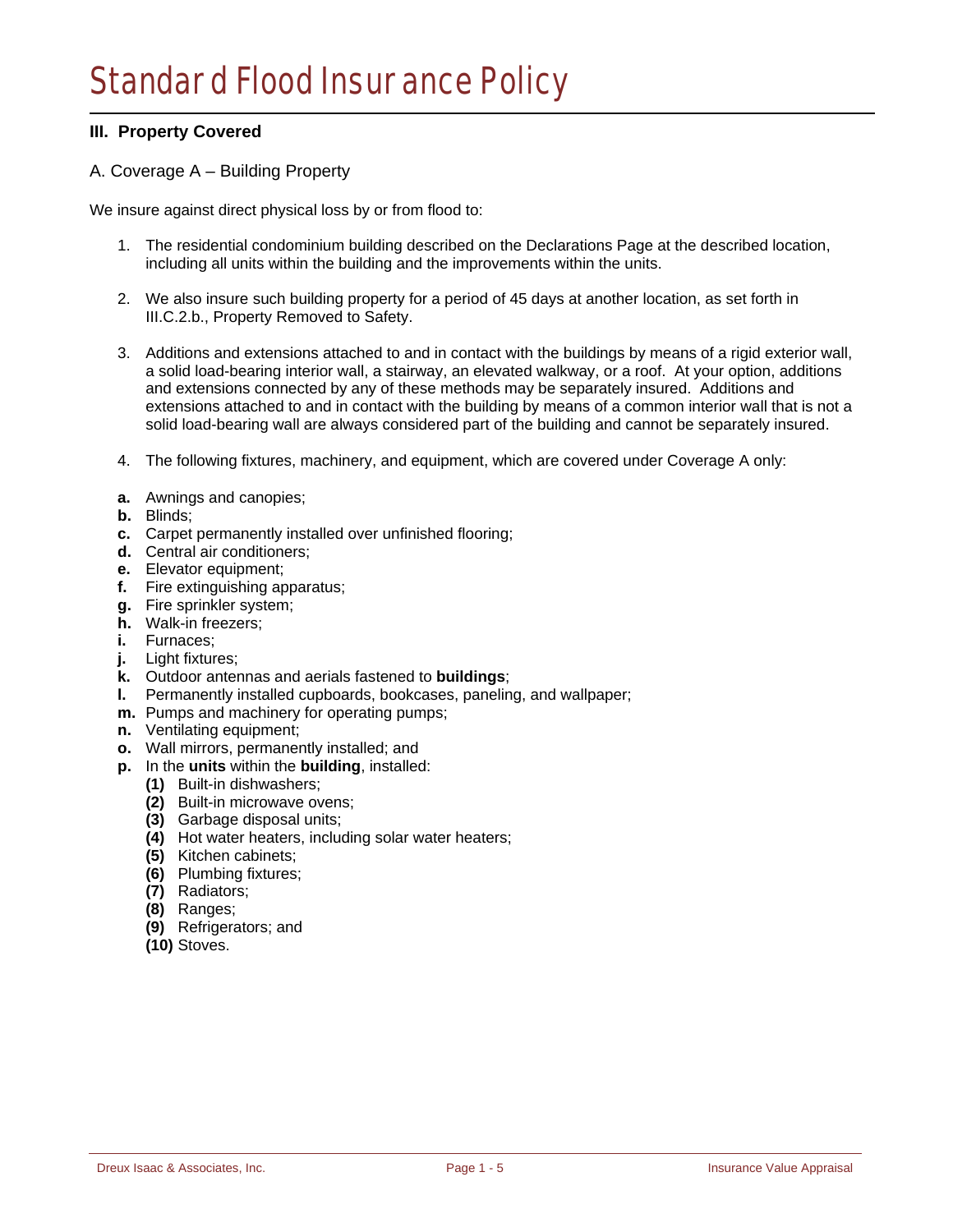#### **III. Property Covered**

#### A. Coverage A – Building Property

We insure against direct physical loss by or from flood to:

- 1. The residential condominium building described on the Declarations Page at the described location, including all units within the building and the improvements within the units.
- 2. We also insure such building property for a period of 45 days at another location, as set forth in III.C.2.b., Property Removed to Safety.
- 3. Additions and extensions attached to and in contact with the buildings by means of a rigid exterior wall, a solid load-bearing interior wall, a stairway, an elevated walkway, or a roof. At your option, additions and extensions connected by any of these methods may be separately insured. Additions and extensions attached to and in contact with the building by means of a common interior wall that is not a solid load-bearing wall are always considered part of the building and cannot be separately insured.
- 4. The following fixtures, machinery, and equipment, which are covered under Coverage A only:
- **a.** Awnings and canopies;
- **b.** Blinds;
- **c.** Carpet permanently installed over unfinished flooring;
- **d.** Central air conditioners;
- **e.** Elevator equipment;
- **f.** Fire extinguishing apparatus;
- **g.** Fire sprinkler system;
- **h.** Walk-in freezers;
- **i.** Furnaces;
- **j.** Light fixtures;
- **k.** Outdoor antennas and aerials fastened to **buildings**;
- **l.** Permanently installed cupboards, bookcases, paneling, and wallpaper;
- **m.** Pumps and machinery for operating pumps;
- **n.** Ventilating equipment;
- **o.** Wall mirrors, permanently installed; and
- **p.** In the **units** within the **building**, installed:
	- **(1)** Built-in dishwashers;
	- **(2)** Built-in microwave ovens;
	- **(3)** Garbage disposal units;
	- **(4)** Hot water heaters, including solar water heaters;
	- **(5)** Kitchen cabinets;
	- **(6)** Plumbing fixtures;
	- **(7)** Radiators;
	- **(8)** Ranges;
	- **(9)** Refrigerators; and
	- **(10)** Stoves.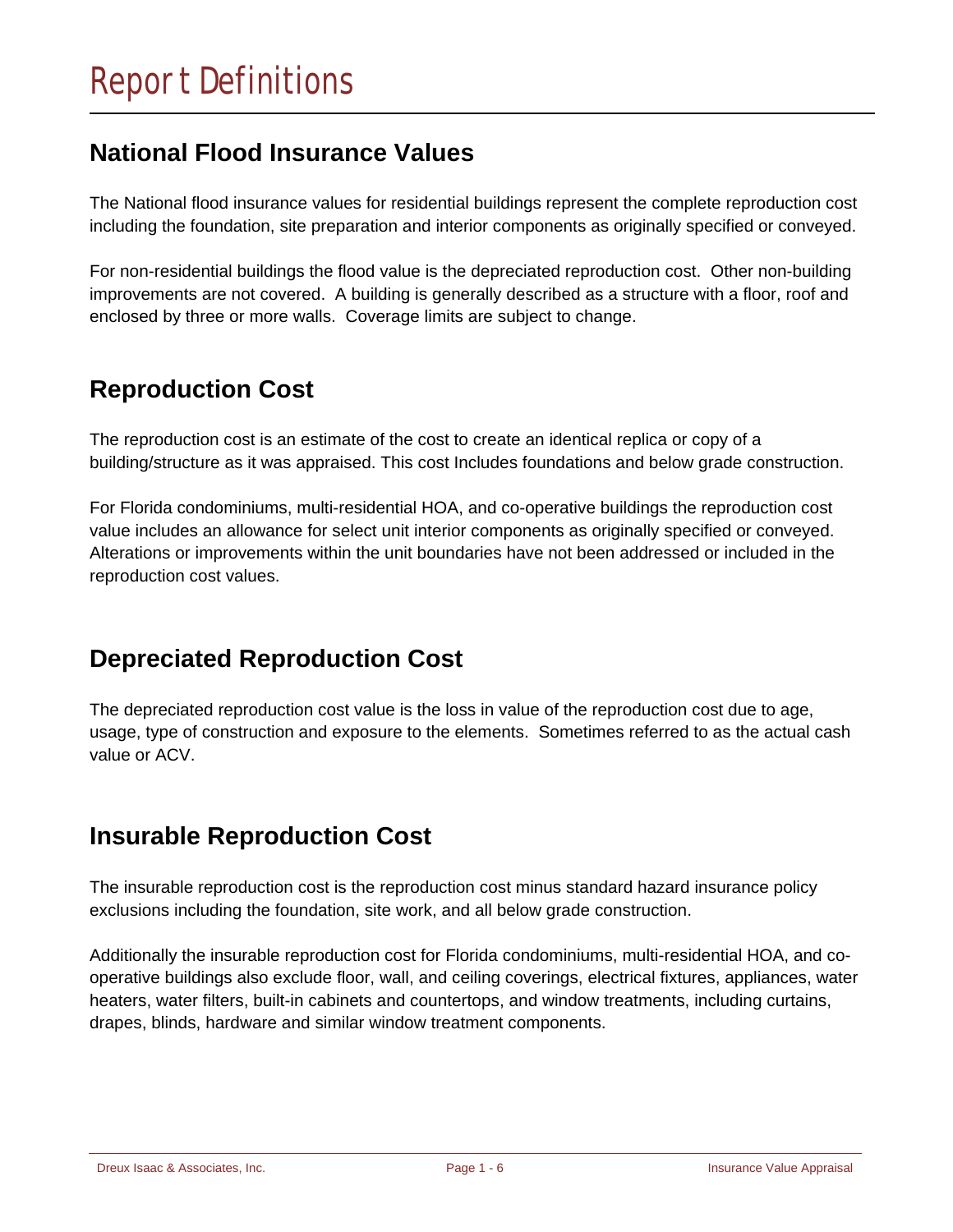### **National Flood Insurance Values**

The National flood insurance values for residential buildings represent the complete reproduction cost including the foundation, site preparation and interior components as originally specified or conveyed.

For non-residential buildings the flood value is the depreciated reproduction cost. Other non-building improvements are not covered. A building is generally described as a structure with a floor, roof and enclosed by three or more walls. Coverage limits are subject to change.

## **Reproduction Cost**

The reproduction cost is an estimate of the cost to create an identical replica or copy of a building/structure as it was appraised. This cost Includes foundations and below grade construction.

For Florida condominiums, multi-residential HOA, and co-operative buildings the reproduction cost value includes an allowance for select unit interior components as originally specified or conveyed. Alterations or improvements within the unit boundaries have not been addressed or included in the reproduction cost values.

## **Depreciated Reproduction Cost**

The depreciated reproduction cost value is the loss in value of the reproduction cost due to age, usage, type of construction and exposure to the elements. Sometimes referred to as the actual cash value or ACV.

### **Insurable Reproduction Cost**

The insurable reproduction cost is the reproduction cost minus standard hazard insurance policy exclusions including the foundation, site work, and all below grade construction.

Additionally the insurable reproduction cost for Florida condominiums, multi-residential HOA, and cooperative buildings also exclude floor, wall, and ceiling coverings, electrical fixtures, appliances, water heaters, water filters, built-in cabinets and countertops, and window treatments, including curtains, drapes, blinds, hardware and similar window treatment components.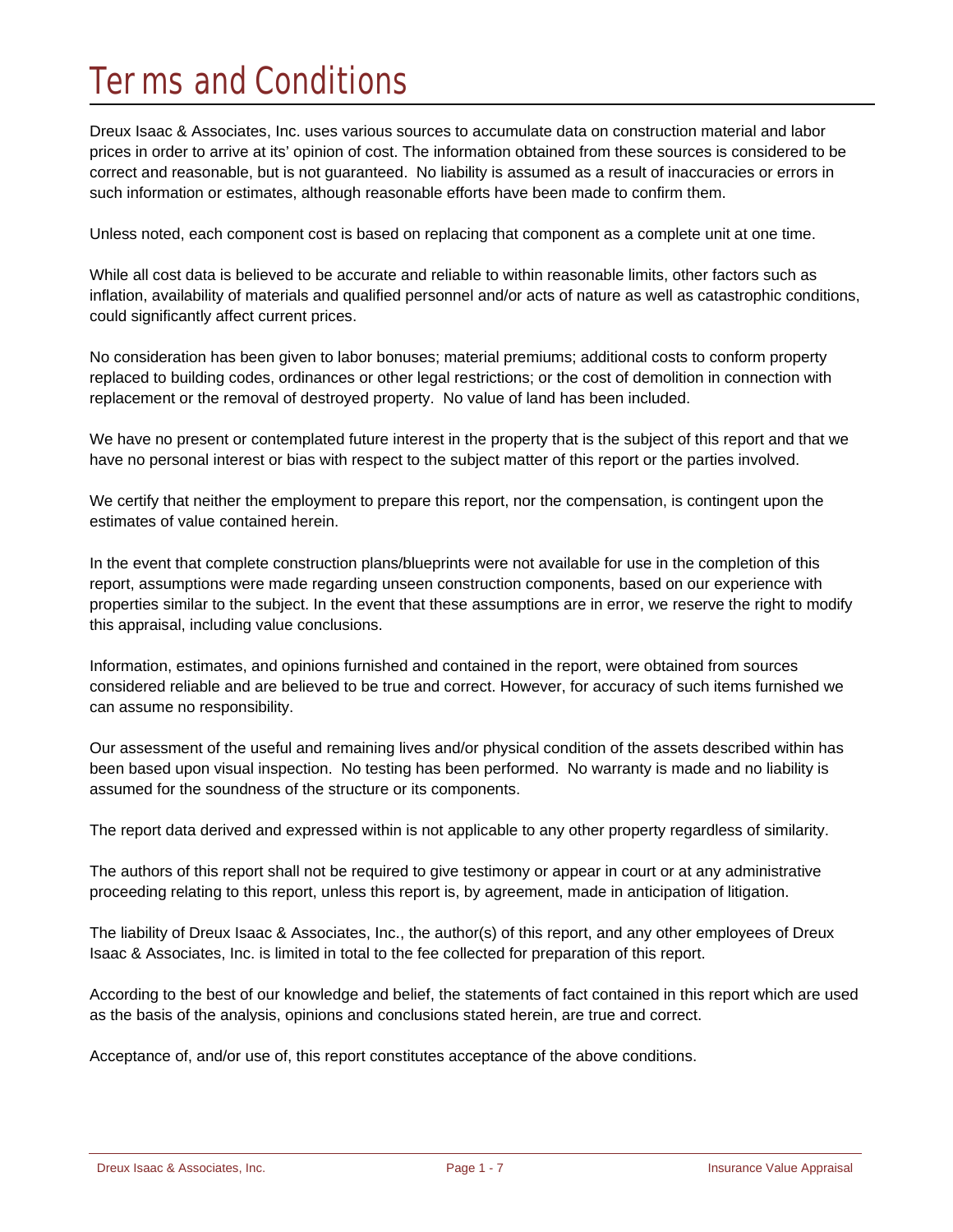## Terms and Conditions

Dreux Isaac & Associates, Inc. uses various sources to accumulate data on construction material and labor prices in order to arrive at its' opinion of cost. The information obtained from these sources is considered to be correct and reasonable, but is not guaranteed. No liability is assumed as a result of inaccuracies or errors in such information or estimates, although reasonable efforts have been made to confirm them.

Unless noted, each component cost is based on replacing that component as a complete unit at one time.

While all cost data is believed to be accurate and reliable to within reasonable limits, other factors such as inflation, availability of materials and qualified personnel and/or acts of nature as well as catastrophic conditions, could significantly affect current prices.

No consideration has been given to labor bonuses; material premiums; additional costs to conform property replaced to building codes, ordinances or other legal restrictions; or the cost of demolition in connection with replacement or the removal of destroyed property. No value of land has been included.

We have no present or contemplated future interest in the property that is the subject of this report and that we have no personal interest or bias with respect to the subject matter of this report or the parties involved.

We certify that neither the employment to prepare this report, nor the compensation, is contingent upon the estimates of value contained herein.

In the event that complete construction plans/blueprints were not available for use in the completion of this report, assumptions were made regarding unseen construction components, based on our experience with properties similar to the subject. In the event that these assumptions are in error, we reserve the right to modify this appraisal, including value conclusions.

Information, estimates, and opinions furnished and contained in the report, were obtained from sources considered reliable and are believed to be true and correct. However, for accuracy of such items furnished we can assume no responsibility.

Our assessment of the useful and remaining lives and/or physical condition of the assets described within has been based upon visual inspection. No testing has been performed. No warranty is made and no liability is assumed for the soundness of the structure or its components.

The report data derived and expressed within is not applicable to any other property regardless of similarity.

The authors of this report shall not be required to give testimony or appear in court or at any administrative proceeding relating to this report, unless this report is, by agreement, made in anticipation of litigation.

The liability of Dreux Isaac & Associates, Inc., the author(s) of this report, and any other employees of Dreux Isaac & Associates, Inc. is limited in total to the fee collected for preparation of this report.

According to the best of our knowledge and belief, the statements of fact contained in this report which are used as the basis of the analysis, opinions and conclusions stated herein, are true and correct.

Acceptance of, and/or use of, this report constitutes acceptance of the above conditions.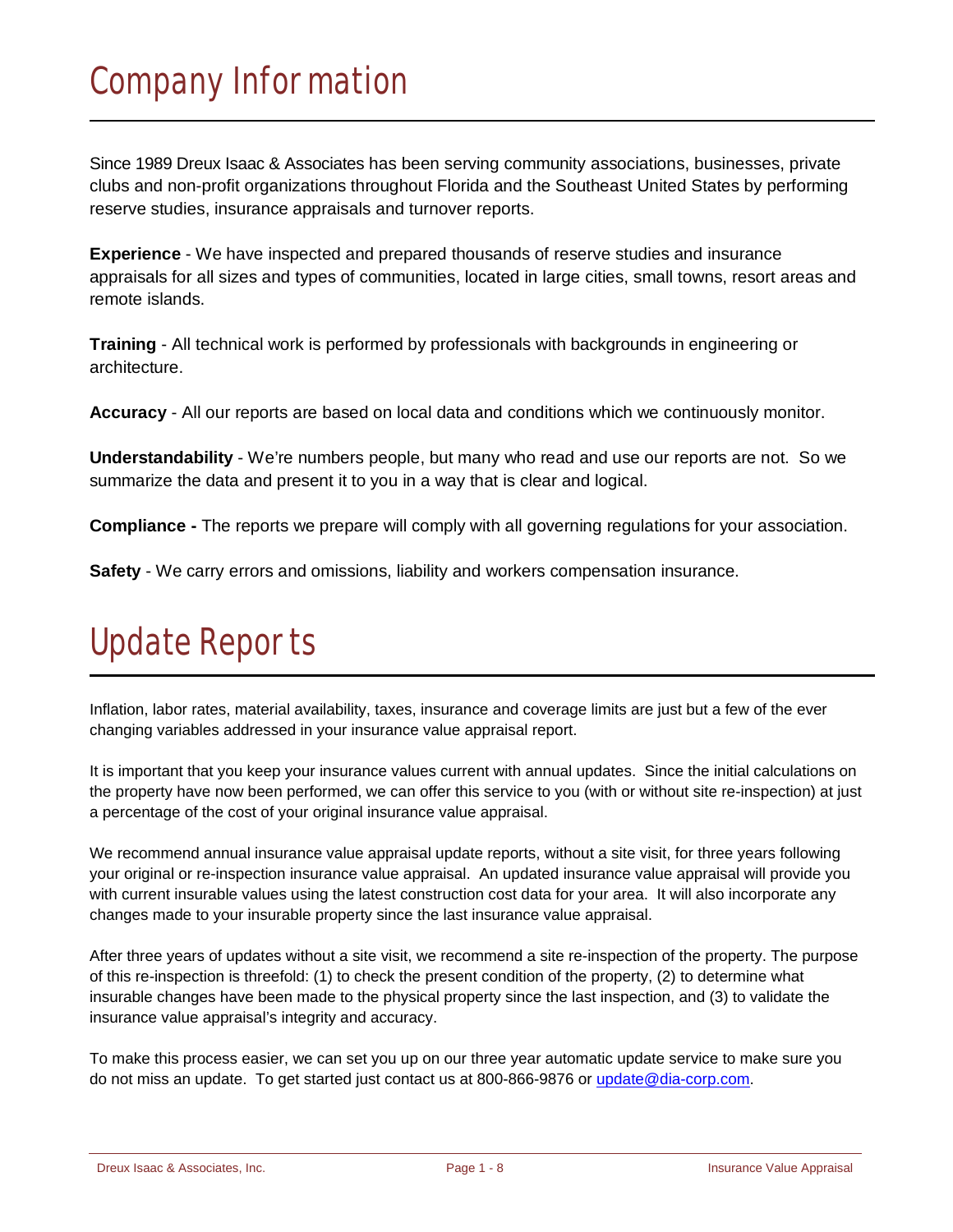## Company Information

Since 1989 Dreux Isaac & Associates has been serving community associations, businesses, private clubs and non-profit organizations throughout Florida and the Southeast United States by performing reserve studies, insurance appraisals and turnover reports.

**Experience** - We have inspected and prepared thousands of reserve studies and insurance appraisals for all sizes and types of communities, located in large cities, small towns, resort areas and remote islands.

**Training** - All technical work is performed by professionals with backgrounds in engineering or architecture.

**Accuracy** - All our reports are based on local data and conditions which we continuously monitor.

**Understandability** - We're numbers people, but many who read and use our reports are not. So we summarize the data and present it to you in a way that is clear and logical.

**Compliance -** The reports we prepare will comply with all governing regulations for your association.

**Safety** - We carry errors and omissions, liability and workers compensation insurance.

## Update Reports

Inflation, labor rates, material availability, taxes, insurance and coverage limits are just but a few of the ever changing variables addressed in your insurance value appraisal report.

It is important that you keep your insurance values current with annual updates. Since the initial calculations on the property have now been performed, we can offer this service to you (with or without site re-inspection) at just a percentage of the cost of your original insurance value appraisal.

We recommend annual insurance value appraisal update reports, without a site visit, for three years following your original or re-inspection insurance value appraisal. An updated insurance value appraisal will provide you with current insurable values using the latest construction cost data for your area. It will also incorporate any changes made to your insurable property since the last insurance value appraisal.

After three years of updates without a site visit, we recommend a site re-inspection of the property. The purpose of this re-inspection is threefold: (1) to check the present condition of the property, (2) to determine what insurable changes have been made to the physical property since the last inspection, and (3) to validate the insurance value appraisal's integrity and accuracy.

To make this process easier, we can set you up on our three year automatic update service to make sure you do not miss an update. To get started just contact us at 800-866-9876 or update@dia-corp.com.

Dreux Isaac & Associates, Inc. The Contract of Page 1 - 8 Insurance Value Appraisal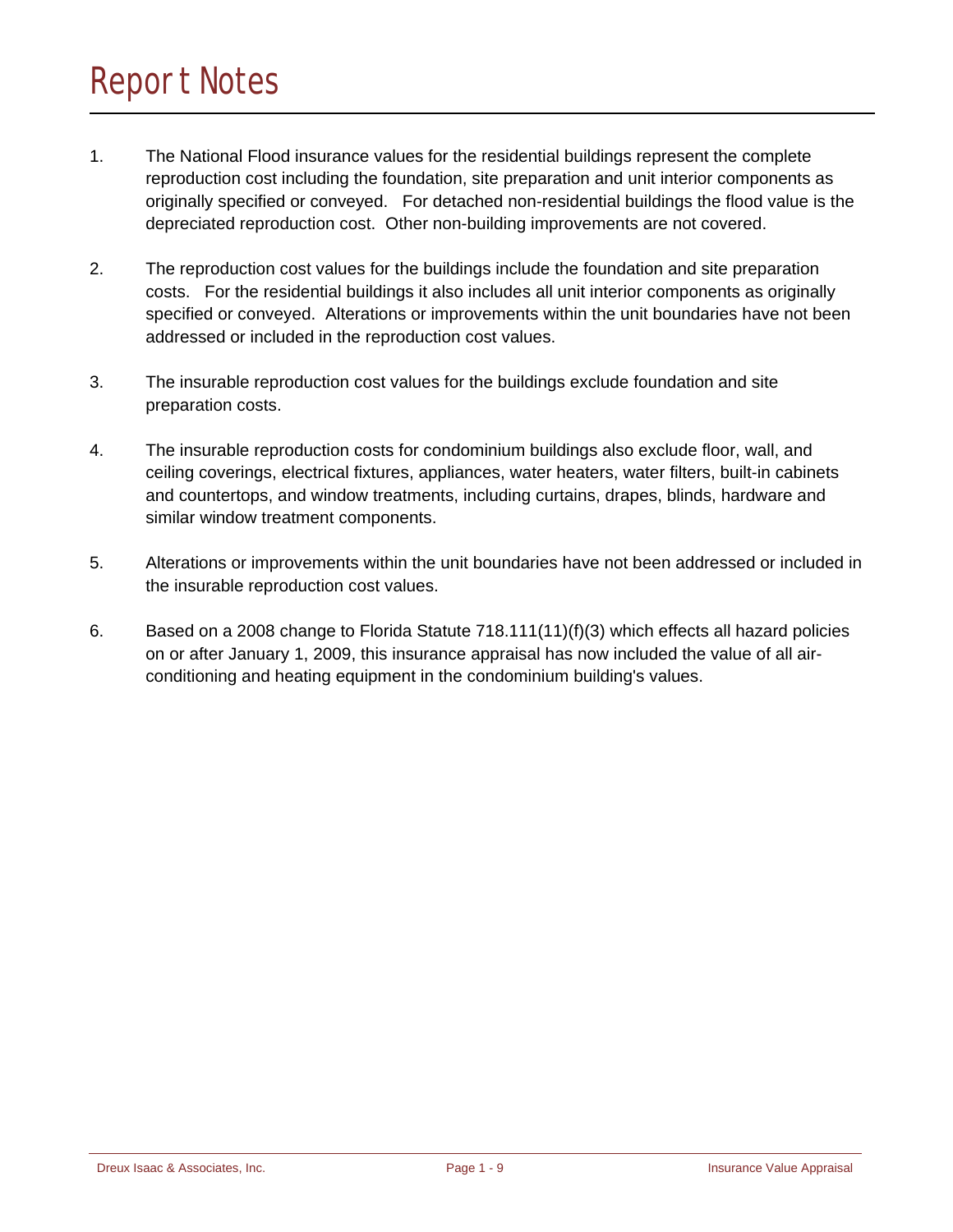## Report Notes

- 1. The National Flood insurance values for the residential buildings represent the complete reproduction cost including the foundation, site preparation and unit interior components as originally specified or conveyed. For detached non-residential buildings the flood value is the depreciated reproduction cost. Other non-building improvements are not covered.
- 2. The reproduction cost values for the buildings include the foundation and site preparation costs. For the residential buildings it also includes all unit interior components as originally specified or conveyed. Alterations or improvements within the unit boundaries have not been addressed or included in the reproduction cost values.
- 3. The insurable reproduction cost values for the buildings exclude foundation and site preparation costs.
- 4. The insurable reproduction costs for condominium buildings also exclude floor, wall, and ceiling coverings, electrical fixtures, appliances, water heaters, water filters, built-in cabinets and countertops, and window treatments, including curtains, drapes, blinds, hardware and similar window treatment components.
- 5. Alterations or improvements within the unit boundaries have not been addressed or included in the insurable reproduction cost values.
- 6. Based on a 2008 change to Florida Statute 718.111(11)(f)(3) which effects all hazard policies on or after January 1, 2009, this insurance appraisal has now included the value of all airconditioning and heating equipment in the condominium building's values.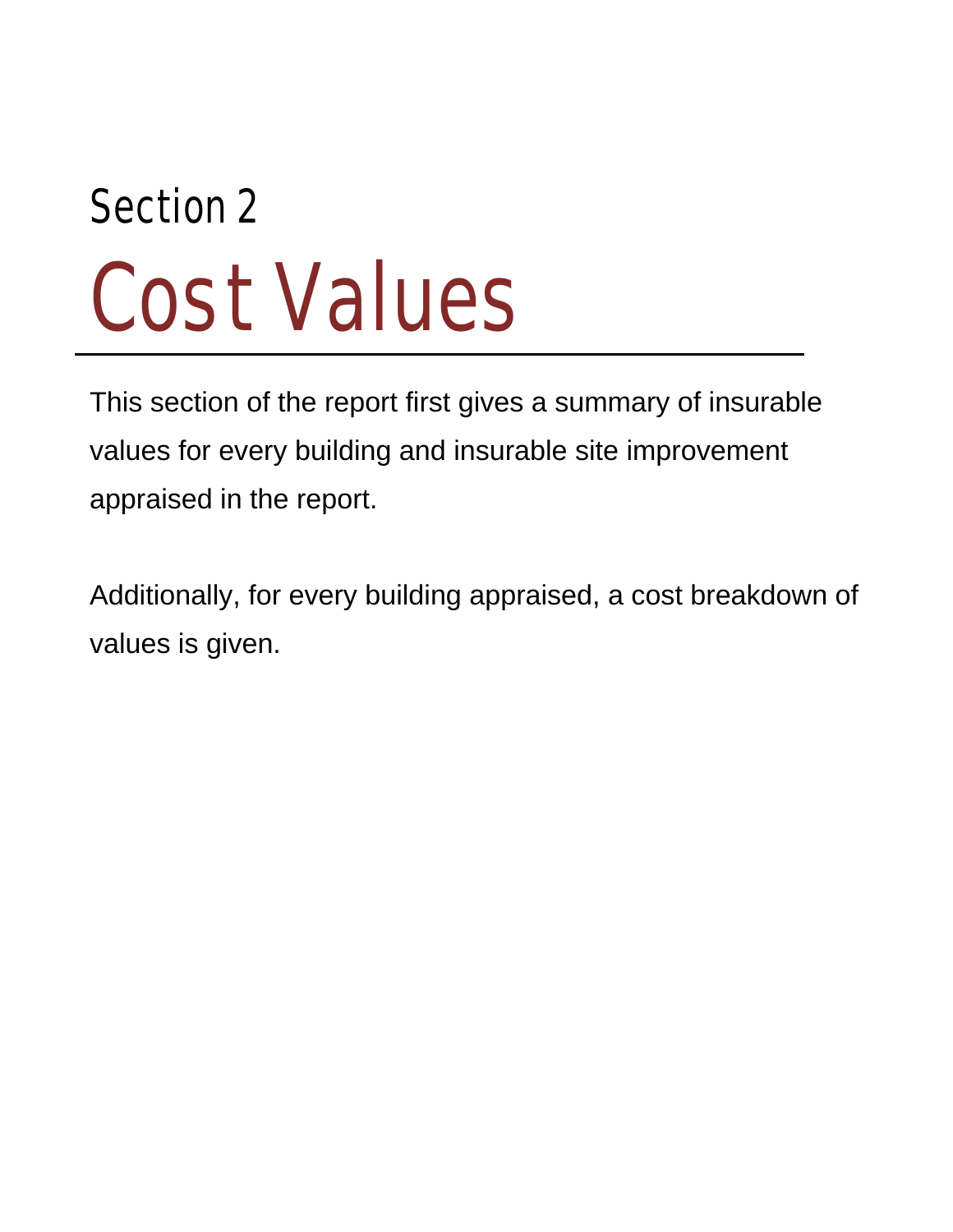# Section 2 Cost Values

This section of the report first gives a summary of insurable values for every building and insurable site improvement appraised in the report.

Additionally, for every building appraised, a cost breakdown of values is given.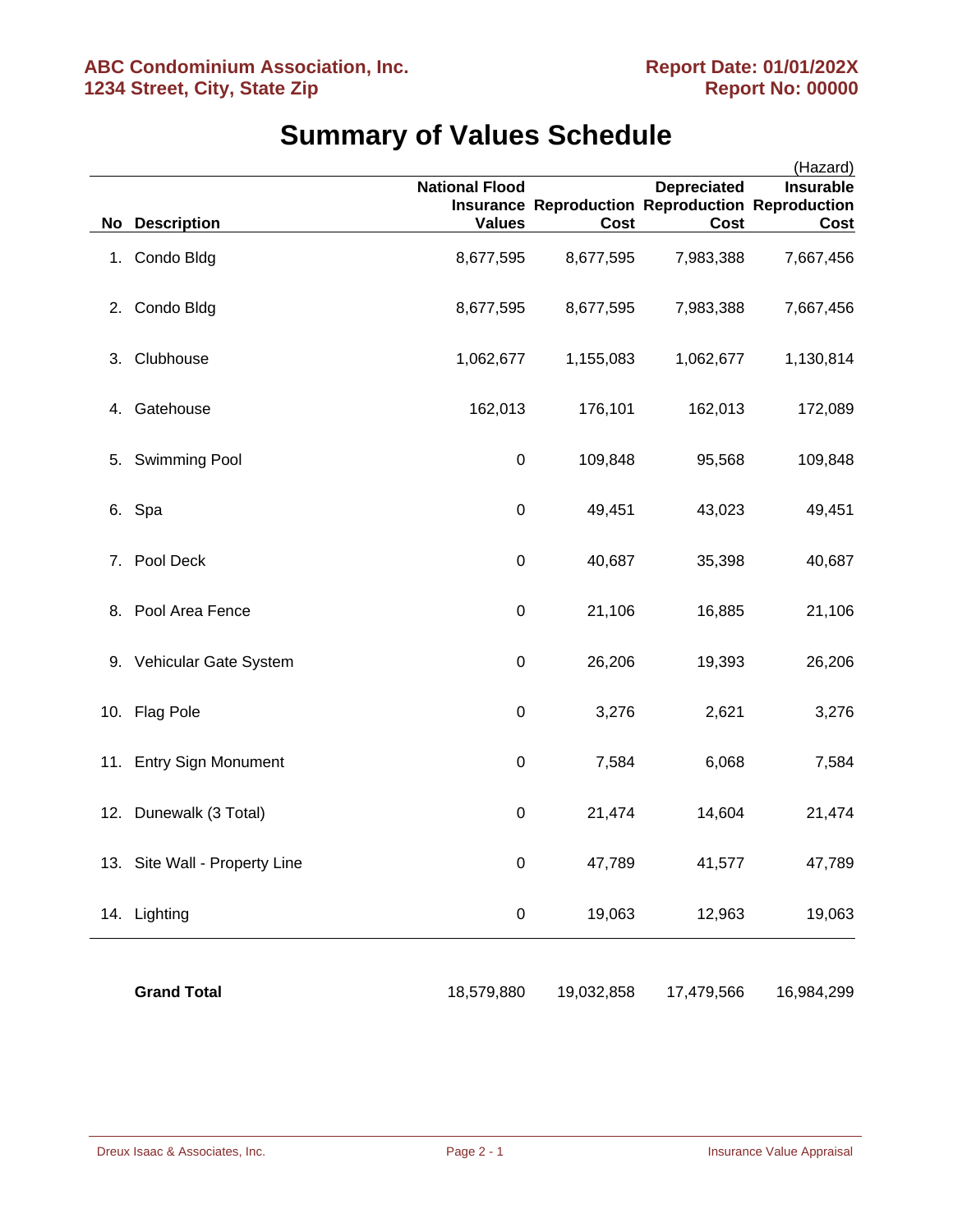|    |                               | <b>National Flood</b> |                                                                        | <b>Depreciated</b> | (Hazard)<br><b>Insurable</b> |
|----|-------------------------------|-----------------------|------------------------------------------------------------------------|--------------------|------------------------------|
|    | <b>No Description</b>         | <b>Values</b>         | <b>Insurance Reproduction Reproduction Reproduction</b><br><b>Cost</b> | Cost               | Cost                         |
| 1. | Condo Bldg                    | 8,677,595             | 8,677,595                                                              | 7,983,388          | 7,667,456                    |
|    | 2. Condo Bldg                 | 8,677,595             | 8,677,595                                                              | 7,983,388          | 7,667,456                    |
| 3. | Clubhouse                     | 1,062,677             | 1,155,083                                                              | 1,062,677          | 1,130,814                    |
| 4. | Gatehouse                     | 162,013               | 176,101                                                                | 162,013            | 172,089                      |
| 5. | <b>Swimming Pool</b>          | $\pmb{0}$             | 109,848                                                                | 95,568             | 109,848                      |
|    | 6. Spa                        | 0                     | 49,451                                                                 | 43,023             | 49,451                       |
|    | 7. Pool Deck                  | $\mathbf 0$           | 40,687                                                                 | 35,398             | 40,687                       |
|    | 8. Pool Area Fence            | $\mathbf 0$           | 21,106                                                                 | 16,885             | 21,106                       |
|    | 9. Vehicular Gate System      | $\pmb{0}$             | 26,206                                                                 | 19,393             | 26,206                       |
|    | 10. Flag Pole                 | $\mathbf 0$           | 3,276                                                                  | 2,621              | 3,276                        |
|    | 11. Entry Sign Monument       | $\pmb{0}$             | 7,584                                                                  | 6,068              | 7,584                        |
|    | 12. Dunewalk (3 Total)        | $\pmb{0}$             | 21,474                                                                 | 14,604             | 21,474                       |
|    | 13. Site Wall - Property Line | $\pmb{0}$             | 47,789                                                                 | 41,577             | 47,789                       |
|    | 14. Lighting                  | $\mathbf 0$           | 19,063                                                                 | 12,963             | 19,063                       |
|    | <b>Grand Total</b>            | 18,579,880            | 19,032,858                                                             | 17,479,566         | 16,984,299                   |

## **Summary of Values Schedule**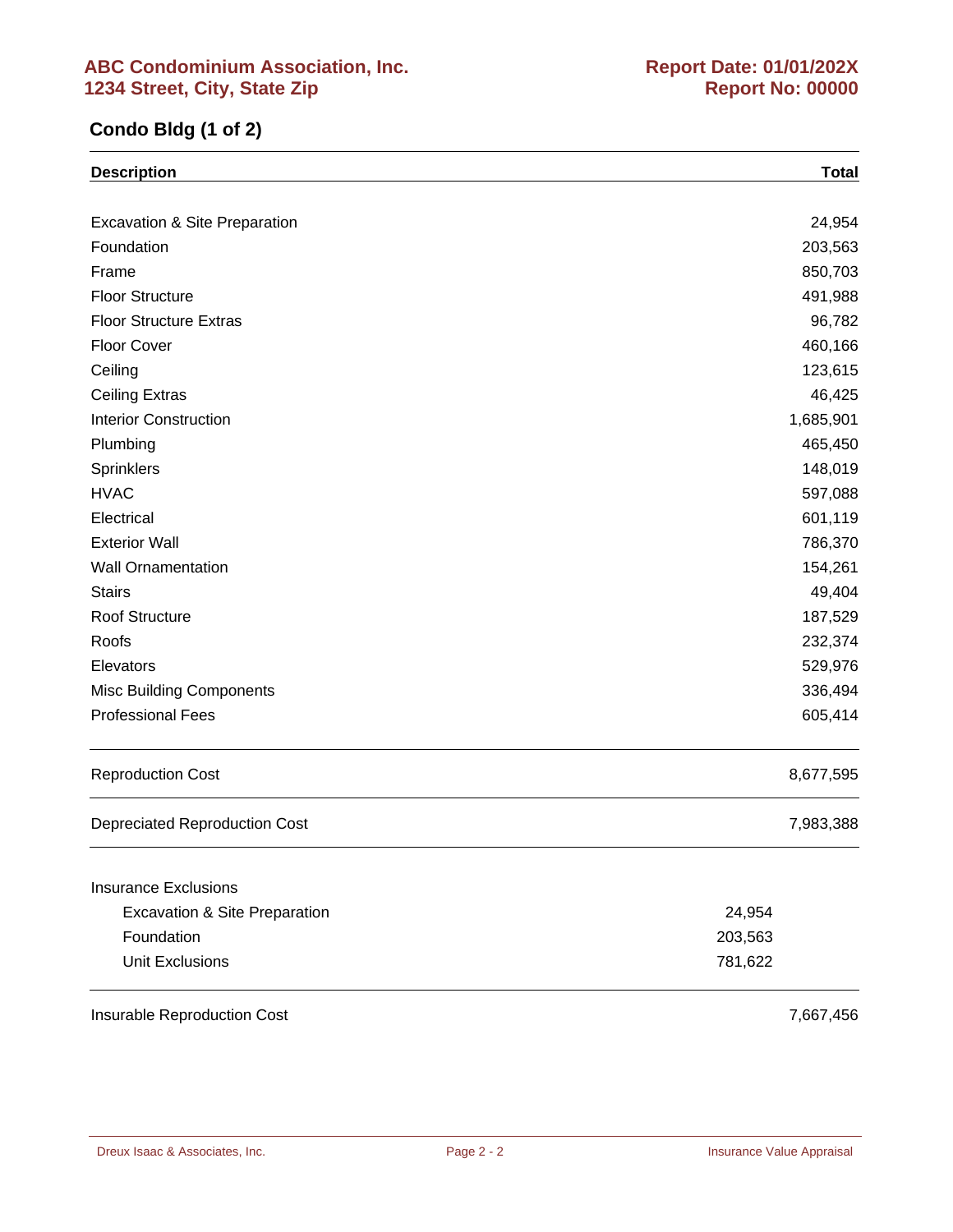#### **Condo Bldg (1 of 2)**

| <b>Description</b>                       | <b>Total</b> |
|------------------------------------------|--------------|
|                                          |              |
| <b>Excavation &amp; Site Preparation</b> | 24,954       |
| Foundation                               | 203,563      |
| Frame                                    | 850,703      |
| <b>Floor Structure</b>                   | 491,988      |
| <b>Floor Structure Extras</b>            | 96,782       |
| <b>Floor Cover</b>                       | 460,166      |
| Ceiling                                  | 123,615      |
| <b>Ceiling Extras</b>                    | 46,425       |
| <b>Interior Construction</b>             | 1,685,901    |
| Plumbing                                 | 465,450      |
| Sprinklers                               | 148,019      |
| <b>HVAC</b>                              | 597,088      |
| Electrical                               | 601,119      |
| <b>Exterior Wall</b>                     | 786,370      |
| <b>Wall Ornamentation</b>                | 154,261      |
| <b>Stairs</b>                            | 49,404       |
| <b>Roof Structure</b>                    | 187,529      |
| Roofs                                    | 232,374      |
| Elevators                                | 529,976      |
| <b>Misc Building Components</b>          | 336,494      |
| <b>Professional Fees</b>                 | 605,414      |
| <b>Reproduction Cost</b>                 | 8,677,595    |
| <b>Depreciated Reproduction Cost</b>     | 7,983,388    |
| <b>Insurance Exclusions</b>              |              |
| Excavation & Site Preparation            | 24,954       |
| Foundation                               | 203,563      |
| <b>Unit Exclusions</b>                   | 781,622      |
| Insurable Reproduction Cost              | 7,667,456    |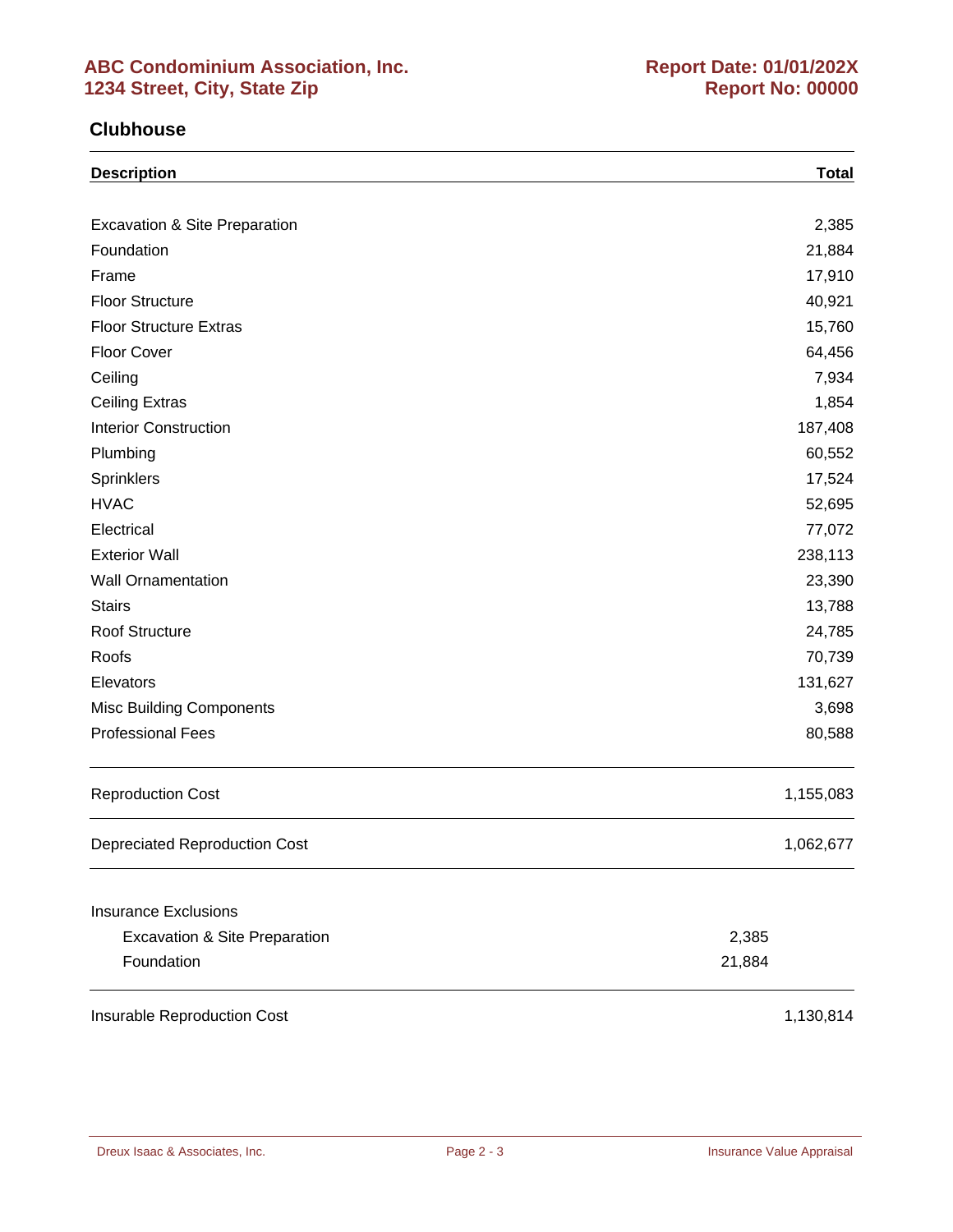#### **Clubhouse**

| <b>Description</b>                   | <b>Total</b> |
|--------------------------------------|--------------|
|                                      |              |
| Excavation & Site Preparation        | 2,385        |
| Foundation                           | 21,884       |
| Frame                                | 17,910       |
| <b>Floor Structure</b>               | 40,921       |
| <b>Floor Structure Extras</b>        | 15,760       |
| Floor Cover                          | 64,456       |
| Ceiling                              | 7,934        |
| <b>Ceiling Extras</b>                | 1,854        |
| <b>Interior Construction</b>         | 187,408      |
| Plumbing                             | 60,552       |
| Sprinklers                           | 17,524       |
| <b>HVAC</b>                          | 52,695       |
| Electrical                           | 77,072       |
| <b>Exterior Wall</b>                 | 238,113      |
| <b>Wall Ornamentation</b>            | 23,390       |
| <b>Stairs</b>                        | 13,788       |
| Roof Structure                       | 24,785       |
| Roofs                                | 70,739       |
| Elevators                            | 131,627      |
| <b>Misc Building Components</b>      | 3,698        |
| <b>Professional Fees</b>             | 80,588       |
| <b>Reproduction Cost</b>             | 1,155,083    |
| <b>Depreciated Reproduction Cost</b> | 1,062,677    |
| <b>Insurance Exclusions</b>          |              |
| Excavation & Site Preparation        | 2,385        |
| Foundation                           | 21,884       |
| Insurable Reproduction Cost          | 1,130,814    |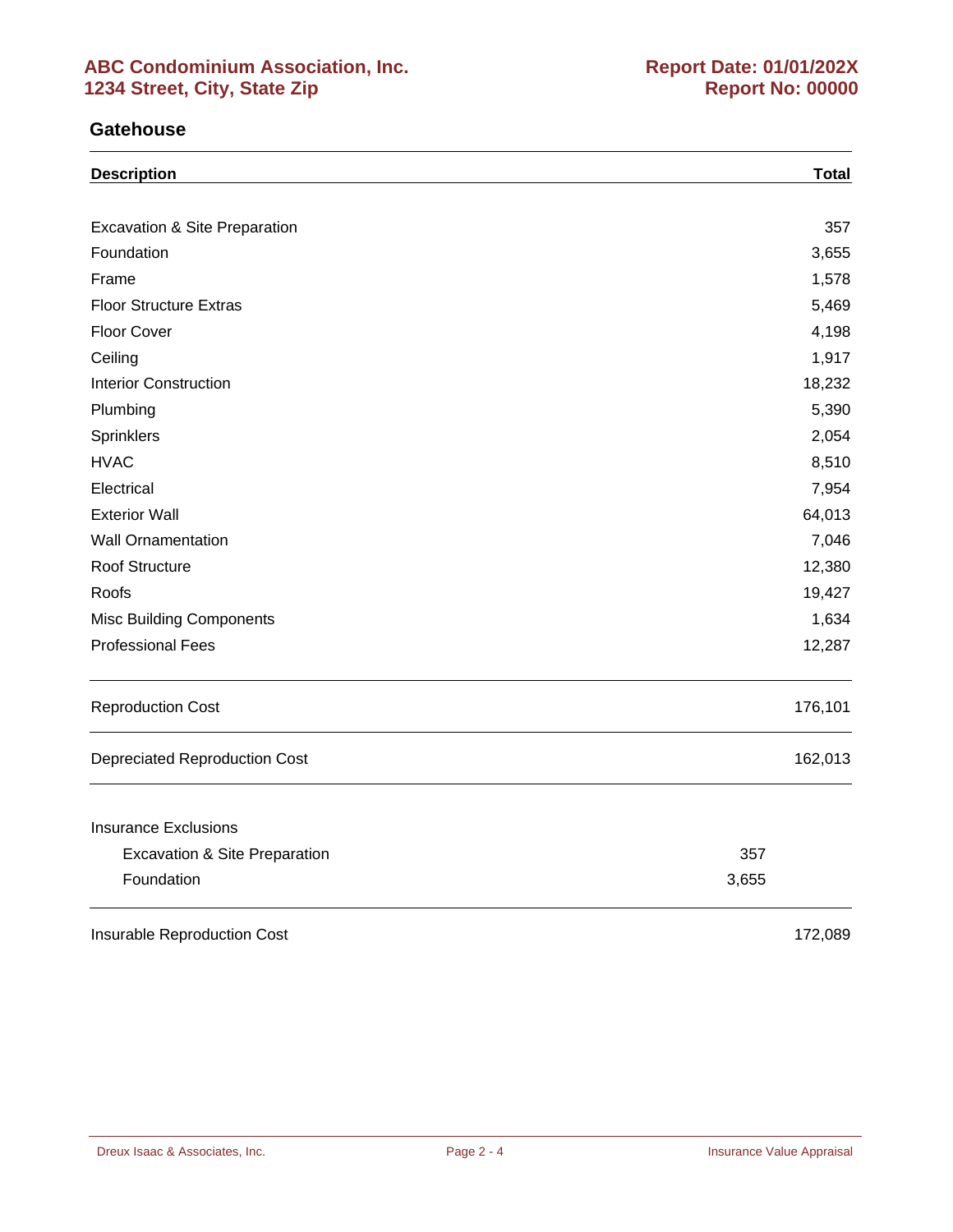#### **Gatehouse**

| <b>Description</b>                   | <b>Total</b> |
|--------------------------------------|--------------|
|                                      |              |
| Excavation & Site Preparation        | 357          |
| Foundation                           | 3,655        |
| Frame                                | 1,578        |
| <b>Floor Structure Extras</b>        | 5,469        |
| Floor Cover                          | 4,198        |
| Ceiling                              | 1,917        |
| <b>Interior Construction</b>         | 18,232       |
| Plumbing                             | 5,390        |
| Sprinklers                           | 2,054        |
| <b>HVAC</b>                          | 8,510        |
| Electrical                           | 7,954        |
| <b>Exterior Wall</b>                 | 64,013       |
| <b>Wall Ornamentation</b>            | 7,046        |
| Roof Structure                       | 12,380       |
| Roofs                                | 19,427       |
| <b>Misc Building Components</b>      | 1,634        |
| <b>Professional Fees</b>             | 12,287       |
| <b>Reproduction Cost</b>             | 176,101      |
| <b>Depreciated Reproduction Cost</b> | 162,013      |
| <b>Insurance Exclusions</b>          |              |
| Excavation & Site Preparation        | 357          |
| Foundation                           | 3,655        |
| Insurable Reproduction Cost          | 172,089      |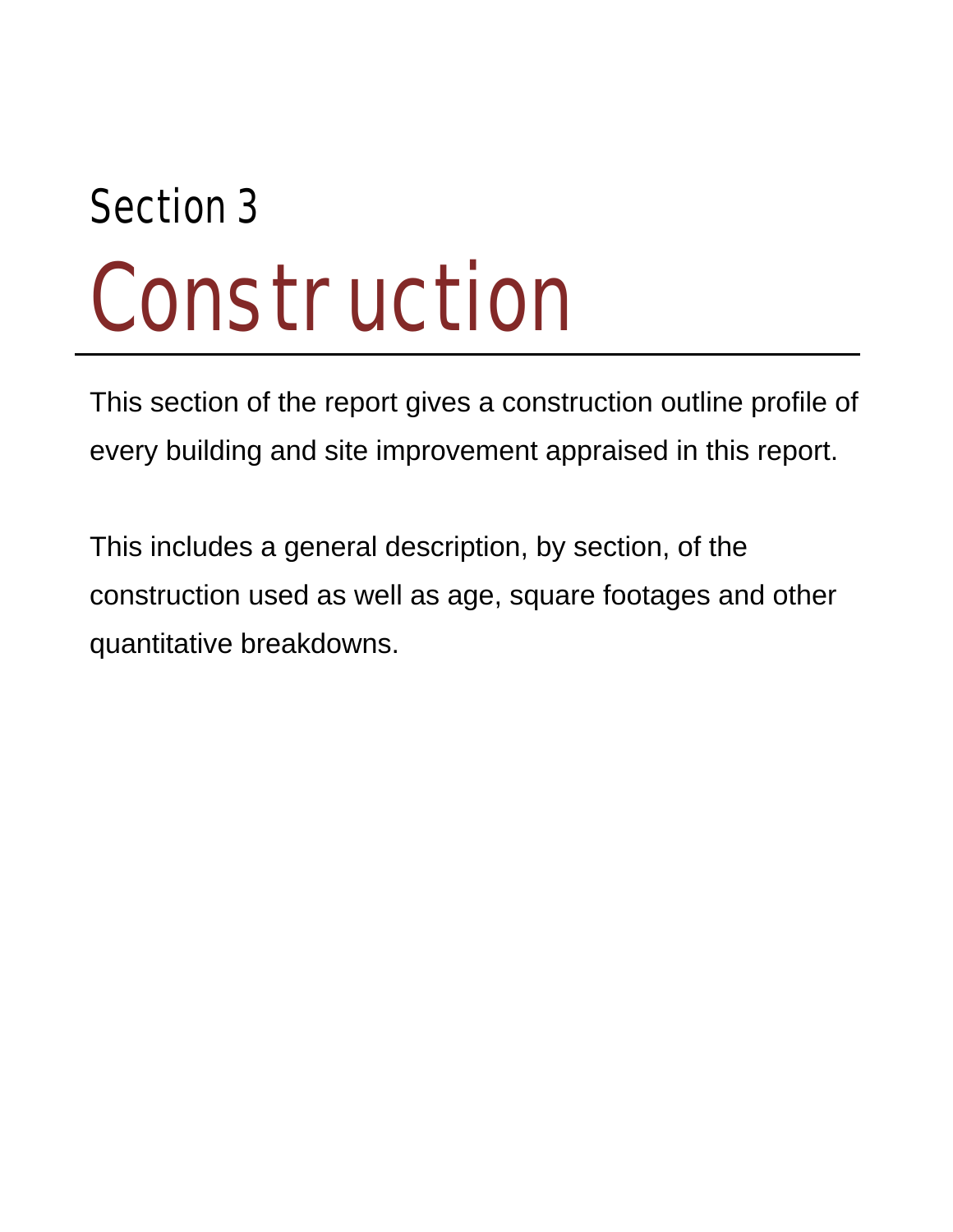# Section 3 Construction

This section of the report gives a construction outline profile of every building and site improvement appraised in this report.

This includes a general description, by section, of the construction used as well as age, square footages and other quantitative breakdowns.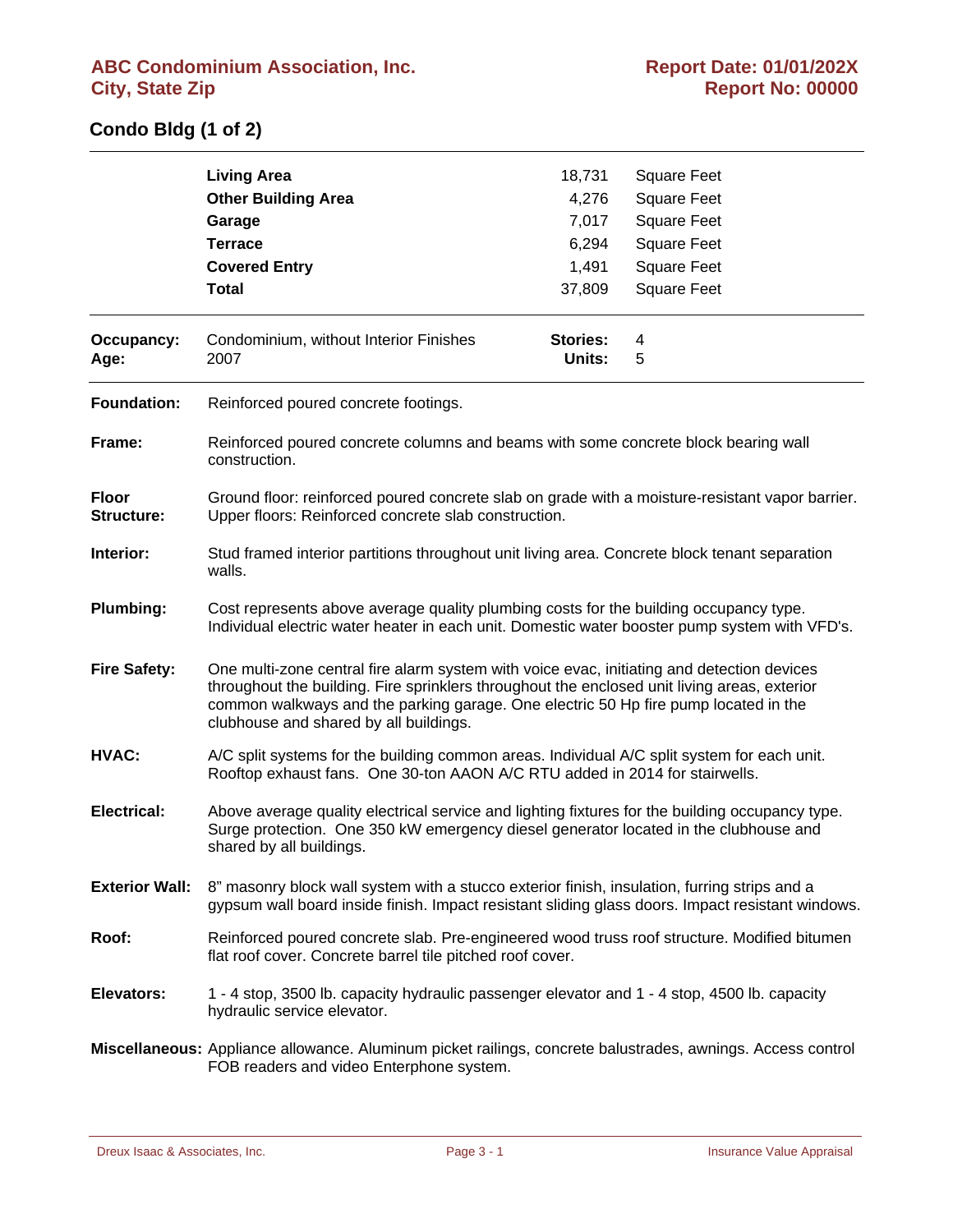#### **Condo Bldg (1 of 2)**

|                            | <b>Living Area</b><br><b>Other Building Area</b><br>Garage<br><b>Terrace</b><br><b>Covered Entry</b><br><b>Total</b>                                                                                                                                                                                                        | 18,731<br>4,276<br>7,017<br>6,294<br>1,491<br>37,809 | <b>Square Feet</b><br><b>Square Feet</b><br><b>Square Feet</b><br><b>Square Feet</b><br><b>Square Feet</b><br><b>Square Feet</b> |  |
|----------------------------|-----------------------------------------------------------------------------------------------------------------------------------------------------------------------------------------------------------------------------------------------------------------------------------------------------------------------------|------------------------------------------------------|----------------------------------------------------------------------------------------------------------------------------------|--|
| <b>Occupancy:</b><br>Age:  | Condominium, without Interior Finishes<br>2007                                                                                                                                                                                                                                                                              | <b>Stories:</b><br>Units:                            | 4<br>5                                                                                                                           |  |
| <b>Foundation:</b>         | Reinforced poured concrete footings.                                                                                                                                                                                                                                                                                        |                                                      |                                                                                                                                  |  |
| Frame:                     | Reinforced poured concrete columns and beams with some concrete block bearing wall<br>construction.                                                                                                                                                                                                                         |                                                      |                                                                                                                                  |  |
| <b>Floor</b><br>Structure: | Ground floor: reinforced poured concrete slab on grade with a moisture-resistant vapor barrier.<br>Upper floors: Reinforced concrete slab construction.                                                                                                                                                                     |                                                      |                                                                                                                                  |  |
| Interior:                  | Stud framed interior partitions throughout unit living area. Concrete block tenant separation<br>walls.                                                                                                                                                                                                                     |                                                      |                                                                                                                                  |  |
| <b>Plumbing:</b>           | Cost represents above average quality plumbing costs for the building occupancy type.<br>Individual electric water heater in each unit. Domestic water booster pump system with VFD's.                                                                                                                                      |                                                      |                                                                                                                                  |  |
| <b>Fire Safety:</b>        | One multi-zone central fire alarm system with voice evac, initiating and detection devices<br>throughout the building. Fire sprinklers throughout the enclosed unit living areas, exterior<br>common walkways and the parking garage. One electric 50 Hp fire pump located in the<br>clubhouse and shared by all buildings. |                                                      |                                                                                                                                  |  |
| <b>HVAC:</b>               | A/C split systems for the building common areas. Individual A/C split system for each unit.<br>Rooftop exhaust fans. One 30-ton AAON A/C RTU added in 2014 for stairwells.                                                                                                                                                  |                                                      |                                                                                                                                  |  |
| <b>Electrical:</b>         | Above average quality electrical service and lighting fixtures for the building occupancy type.<br>Surge protection. One 350 kW emergency diesel generator located in the clubhouse and<br>shared by all buildings.                                                                                                         |                                                      |                                                                                                                                  |  |
| <b>Exterior Wall:</b>      | 8" masonry block wall system with a stucco exterior finish, insulation, furring strips and a<br>gypsum wall board inside finish. Impact resistant sliding glass doors. Impact resistant windows.                                                                                                                            |                                                      |                                                                                                                                  |  |
| Roof:                      | Reinforced poured concrete slab. Pre-engineered wood truss roof structure. Modified bitumen<br>flat roof cover. Concrete barrel tile pitched roof cover.                                                                                                                                                                    |                                                      |                                                                                                                                  |  |
| Elevators:                 | 1 - 4 stop, 3500 lb. capacity hydraulic passenger elevator and 1 - 4 stop, 4500 lb. capacity<br>hydraulic service elevator.                                                                                                                                                                                                 |                                                      |                                                                                                                                  |  |
|                            | Miscellaneous: Appliance allowance. Aluminum picket railings, concrete balustrades, awnings. Access control<br>FOB readers and video Enterphone system.                                                                                                                                                                     |                                                      |                                                                                                                                  |  |

Dreux Isaac & Associates, Inc. The Contract of Page 3 - 1 Insurance Value Appraisal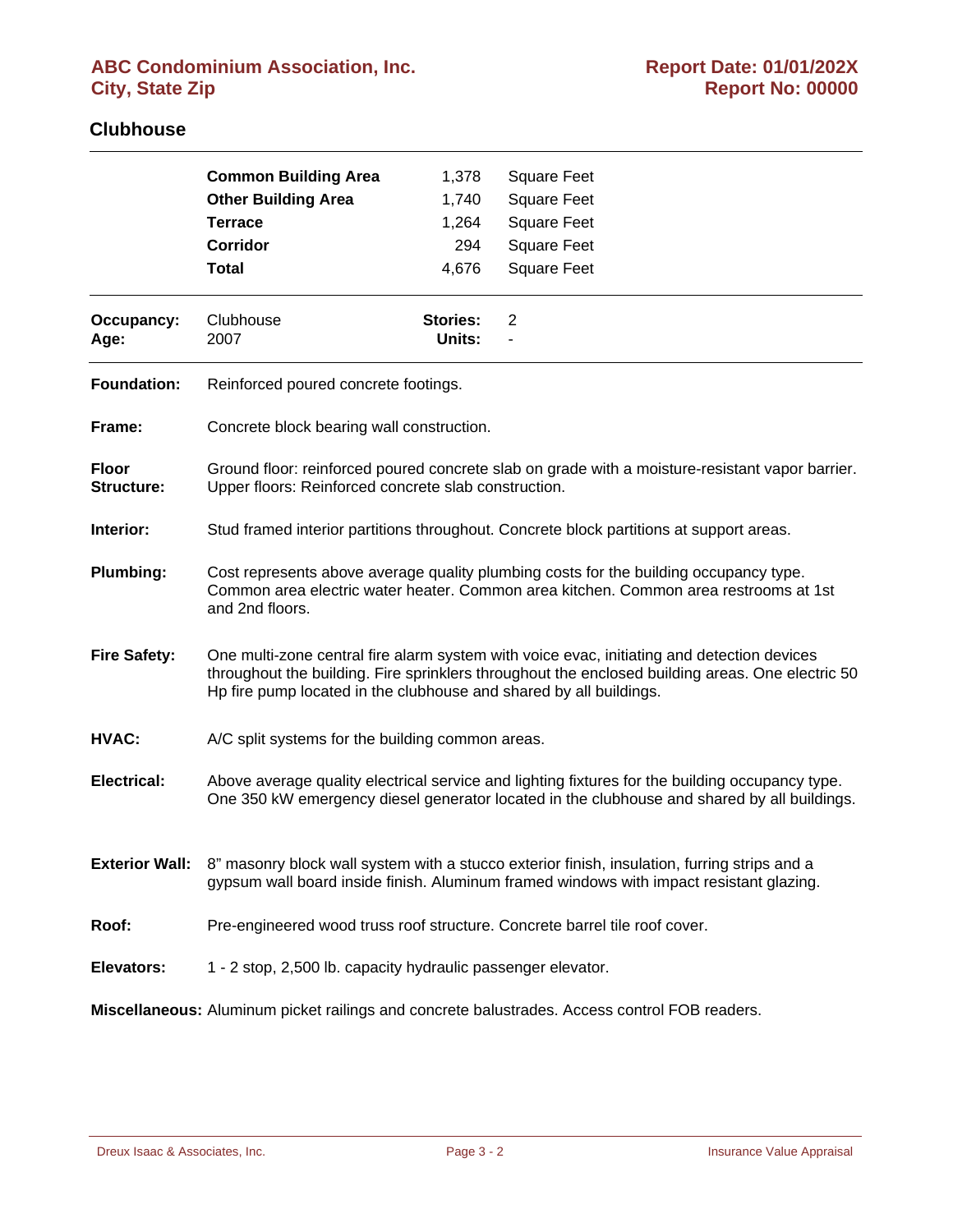# **ABC Condominium Association, Inc. City, State Zip**

#### **Clubhouse**

|                            | <b>Common Building Area</b>                                                                                                                                                                                                                                          | 1,378                     | <b>Square Feet</b>                                                         |  |
|----------------------------|----------------------------------------------------------------------------------------------------------------------------------------------------------------------------------------------------------------------------------------------------------------------|---------------------------|----------------------------------------------------------------------------|--|
|                            | <b>Other Building Area</b>                                                                                                                                                                                                                                           | 1,740                     | <b>Square Feet</b>                                                         |  |
|                            | <b>Terrace</b>                                                                                                                                                                                                                                                       | 1,264                     | <b>Square Feet</b>                                                         |  |
|                            | <b>Corridor</b>                                                                                                                                                                                                                                                      | 294                       | <b>Square Feet</b>                                                         |  |
|                            | <b>Total</b>                                                                                                                                                                                                                                                         | 4,676                     | <b>Square Feet</b>                                                         |  |
| Occupancy:<br>Age:         | Clubhouse<br>2007                                                                                                                                                                                                                                                    | <b>Stories:</b><br>Units: | 2                                                                          |  |
|                            |                                                                                                                                                                                                                                                                      |                           |                                                                            |  |
| <b>Foundation:</b>         | Reinforced poured concrete footings.                                                                                                                                                                                                                                 |                           |                                                                            |  |
| Frame:                     | Concrete block bearing wall construction.                                                                                                                                                                                                                            |                           |                                                                            |  |
| <b>Floor</b><br>Structure: | Ground floor: reinforced poured concrete slab on grade with a moisture-resistant vapor barrier.<br>Upper floors: Reinforced concrete slab construction.                                                                                                              |                           |                                                                            |  |
| Interior:                  | Stud framed interior partitions throughout. Concrete block partitions at support areas.                                                                                                                                                                              |                           |                                                                            |  |
| Plumbing:                  | Cost represents above average quality plumbing costs for the building occupancy type.<br>Common area electric water heater. Common area kitchen. Common area restrooms at 1st<br>and 2nd floors.                                                                     |                           |                                                                            |  |
| <b>Fire Safety:</b>        | One multi-zone central fire alarm system with voice evac, initiating and detection devices<br>throughout the building. Fire sprinklers throughout the enclosed building areas. One electric 50<br>Hp fire pump located in the clubhouse and shared by all buildings. |                           |                                                                            |  |
| HVAC:                      | A/C split systems for the building common areas.                                                                                                                                                                                                                     |                           |                                                                            |  |
| Electrical:                | Above average quality electrical service and lighting fixtures for the building occupancy type.<br>One 350 kW emergency diesel generator located in the clubhouse and shared by all buildings.                                                                       |                           |                                                                            |  |
| <b>Exterior Wall:</b>      | 8" masonry block wall system with a stucco exterior finish, insulation, furring strips and a<br>gypsum wall board inside finish. Aluminum framed windows with impact resistant glazing.                                                                              |                           |                                                                            |  |
| Roof:                      |                                                                                                                                                                                                                                                                      |                           | Pre-engineered wood truss roof structure. Concrete barrel tile roof cover. |  |
| Elevators:                 | 1 - 2 stop, 2,500 lb. capacity hydraulic passenger elevator.                                                                                                                                                                                                         |                           |                                                                            |  |
|                            | Miscellaneous: Aluminum picket railings and concrete balustrades. Access control FOB readers.                                                                                                                                                                        |                           |                                                                            |  |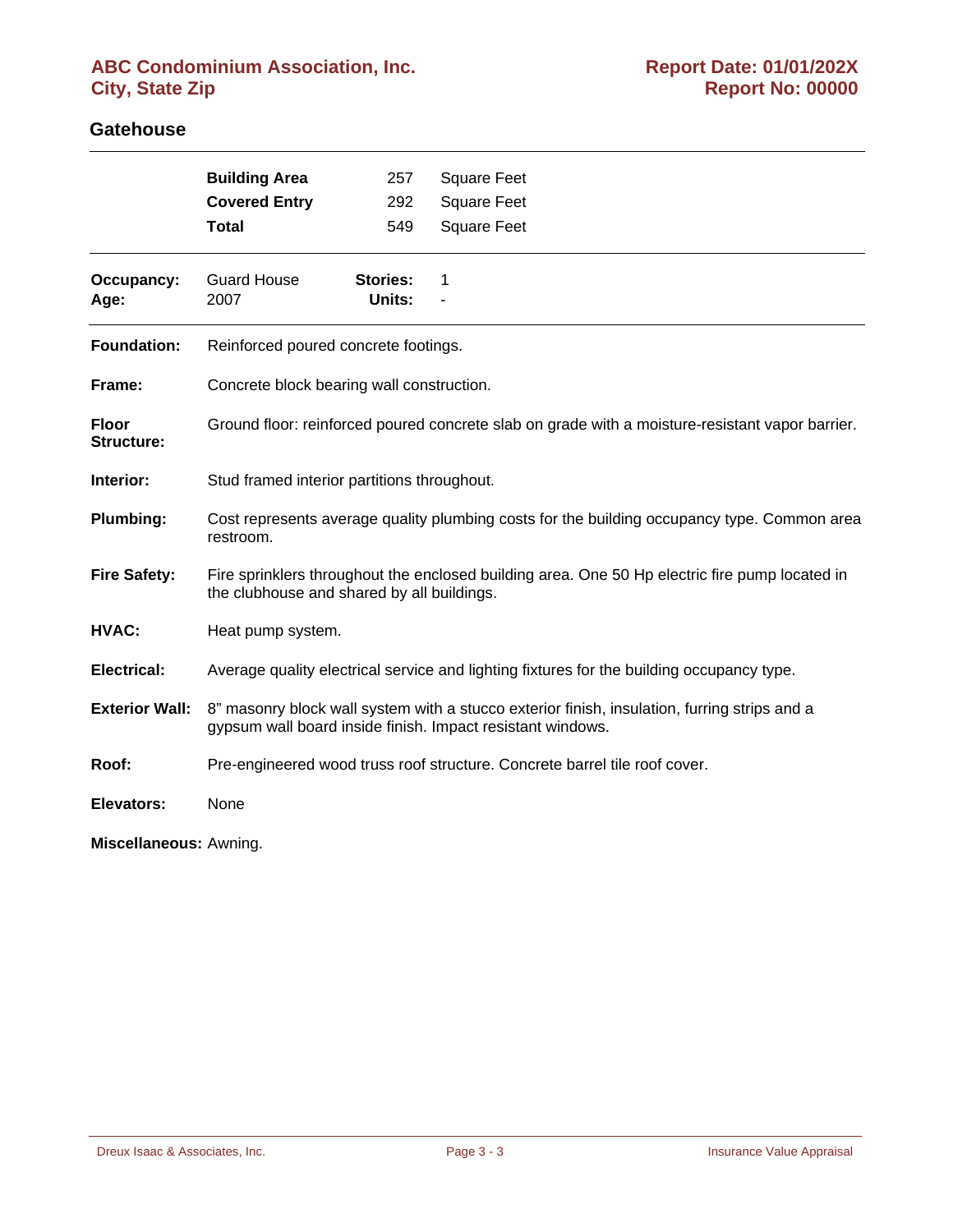# **ABC Condominium Association, Inc. City, State Zip**

#### **Gatehouse**

|                                   | <b>Building Area</b>                                                                                                                                       | 257                       | <b>Square Feet</b> |  |
|-----------------------------------|------------------------------------------------------------------------------------------------------------------------------------------------------------|---------------------------|--------------------|--|
|                                   | <b>Covered Entry</b>                                                                                                                                       | 292                       | <b>Square Feet</b> |  |
|                                   | <b>Total</b>                                                                                                                                               | 549                       | <b>Square Feet</b> |  |
| Occupancy:<br>Age:                | <b>Guard House</b><br>2007                                                                                                                                 | <b>Stories:</b><br>Units: | 1                  |  |
| <b>Foundation:</b>                | Reinforced poured concrete footings.                                                                                                                       |                           |                    |  |
| Frame:                            | Concrete block bearing wall construction.                                                                                                                  |                           |                    |  |
| <b>Floor</b><br><b>Structure:</b> | Ground floor: reinforced poured concrete slab on grade with a moisture-resistant vapor barrier.                                                            |                           |                    |  |
| Interior:                         | Stud framed interior partitions throughout.                                                                                                                |                           |                    |  |
| Plumbing:                         | Cost represents average quality plumbing costs for the building occupancy type. Common area<br>restroom.                                                   |                           |                    |  |
| <b>Fire Safety:</b>               | Fire sprinklers throughout the enclosed building area. One 50 Hp electric fire pump located in<br>the clubhouse and shared by all buildings.               |                           |                    |  |
| HVAC:                             | Heat pump system.                                                                                                                                          |                           |                    |  |
| <b>Electrical:</b>                | Average quality electrical service and lighting fixtures for the building occupancy type.                                                                  |                           |                    |  |
| <b>Exterior Wall:</b>             | 8" masonry block wall system with a stucco exterior finish, insulation, furring strips and a<br>gypsum wall board inside finish. Impact resistant windows. |                           |                    |  |
| Roof:                             | Pre-engineered wood truss roof structure. Concrete barrel tile roof cover.                                                                                 |                           |                    |  |
| <b>Elevators:</b>                 | None                                                                                                                                                       |                           |                    |  |
| Miscellaneous: Awning.            |                                                                                                                                                            |                           |                    |  |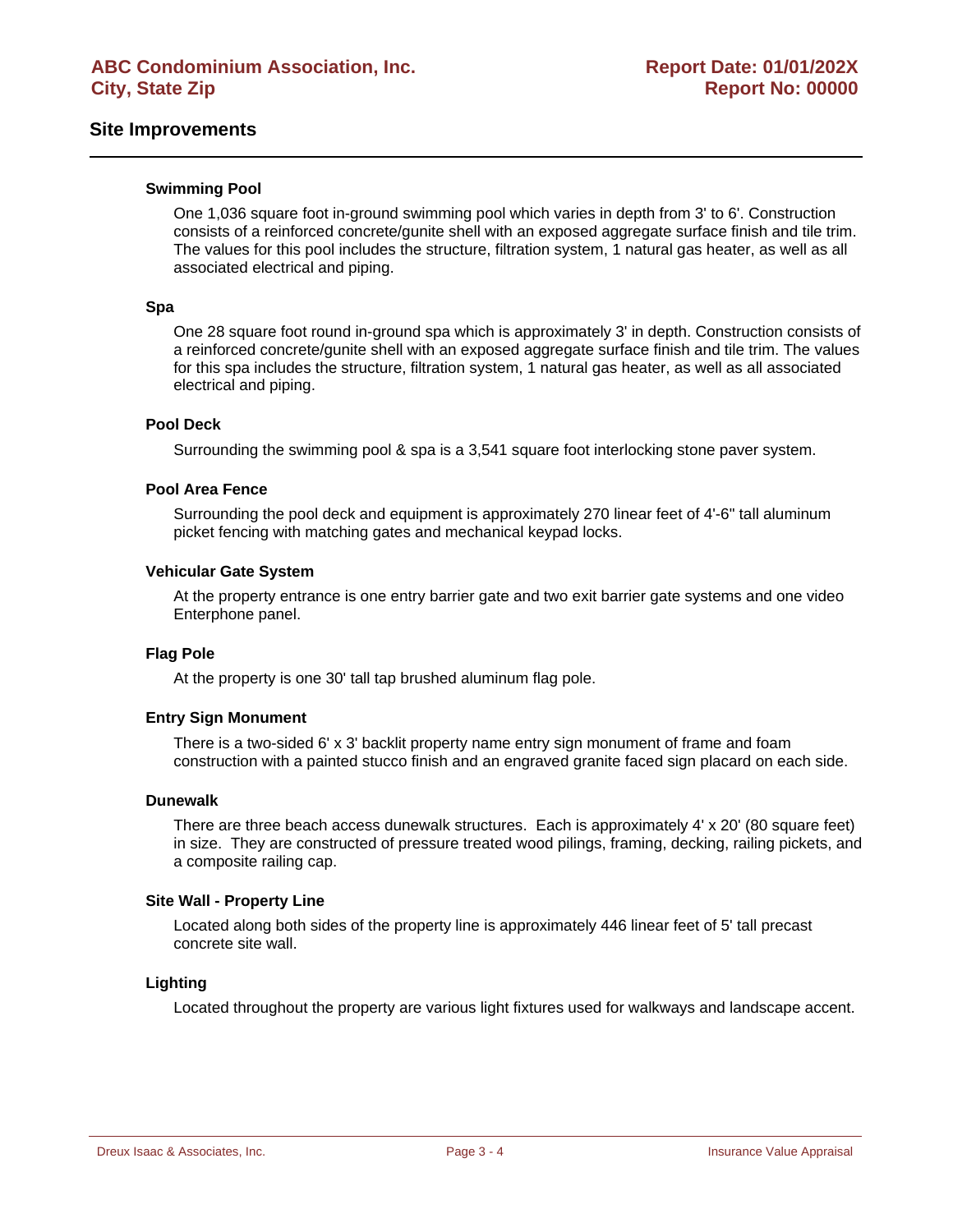#### **Site Improvements**

#### **Swimming Pool**

One 1,036 square foot in-ground swimming pool which varies in depth from 3' to 6'. Construction consists of a reinforced concrete/gunite shell with an exposed aggregate surface finish and tile trim. The values for this pool includes the structure, filtration system, 1 natural gas heater, as well as all associated electrical and piping.

#### **Spa**

One 28 square foot round in-ground spa which is approximately 3' in depth. Construction consists of a reinforced concrete/gunite shell with an exposed aggregate surface finish and tile trim. The values for this spa includes the structure, filtration system, 1 natural gas heater, as well as all associated electrical and piping.

#### **Pool Deck**

Surrounding the swimming pool & spa is a 3,541 square foot interlocking stone paver system.

#### **Pool Area Fence**

Surrounding the pool deck and equipment is approximately 270 linear feet of 4'-6" tall aluminum picket fencing with matching gates and mechanical keypad locks.

#### **Vehicular Gate System**

At the property entrance is one entry barrier gate and two exit barrier gate systems and one video Enterphone panel.

#### **Flag Pole**

At the property is one 30' tall tap brushed aluminum flag pole.

#### **Entry Sign Monument**

There is a two-sided 6' x 3' backlit property name entry sign monument of frame and foam construction with a painted stucco finish and an engraved granite faced sign placard on each side.

#### **Dunewalk**

There are three beach access dunewalk structures. Each is approximately 4' x 20' (80 square feet) in size. They are constructed of pressure treated wood pilings, framing, decking, railing pickets, and a composite railing cap.

#### **Site Wall - Property Line**

Located along both sides of the property line is approximately 446 linear feet of 5' tall precast concrete site wall.

#### **Lighting**

Located throughout the property are various light fixtures used for walkways and landscape accent.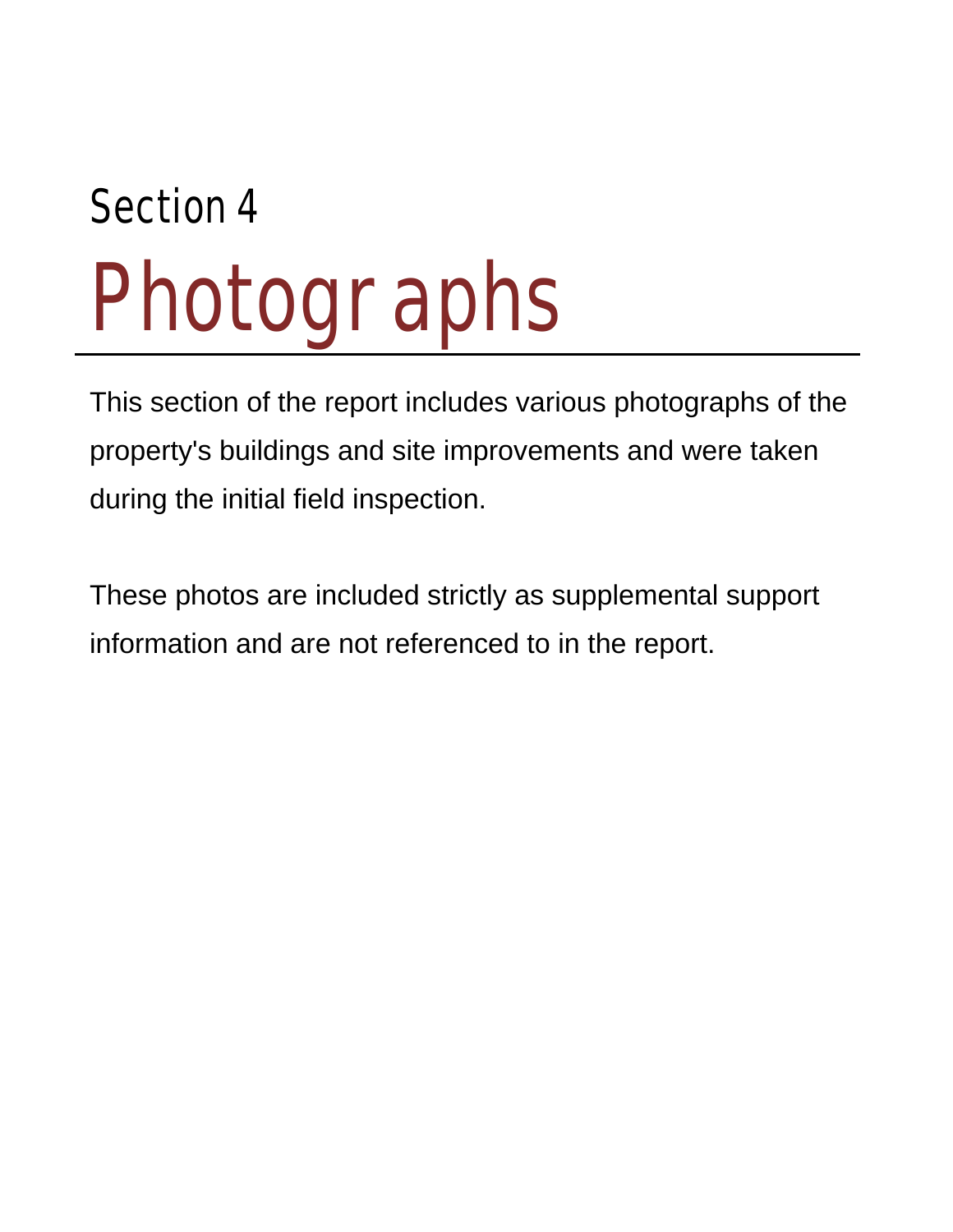# Section 4 Photographs

This section of the report includes various photographs of the property's buildings and site improvements and were taken during the initial field inspection.

These photos are included strictly as supplemental support information and are not referenced to in the report.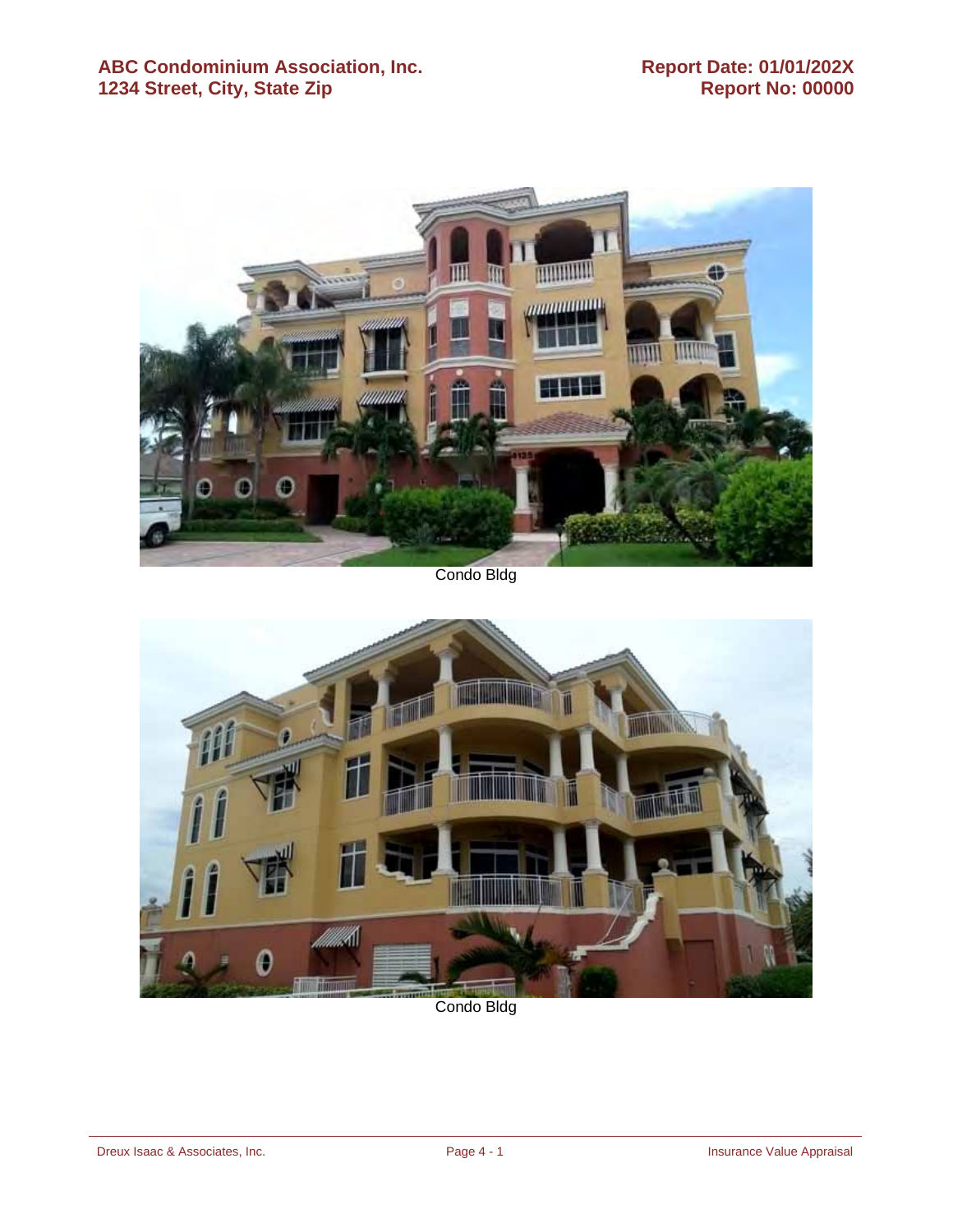

Condo Bldg



Condo Bldg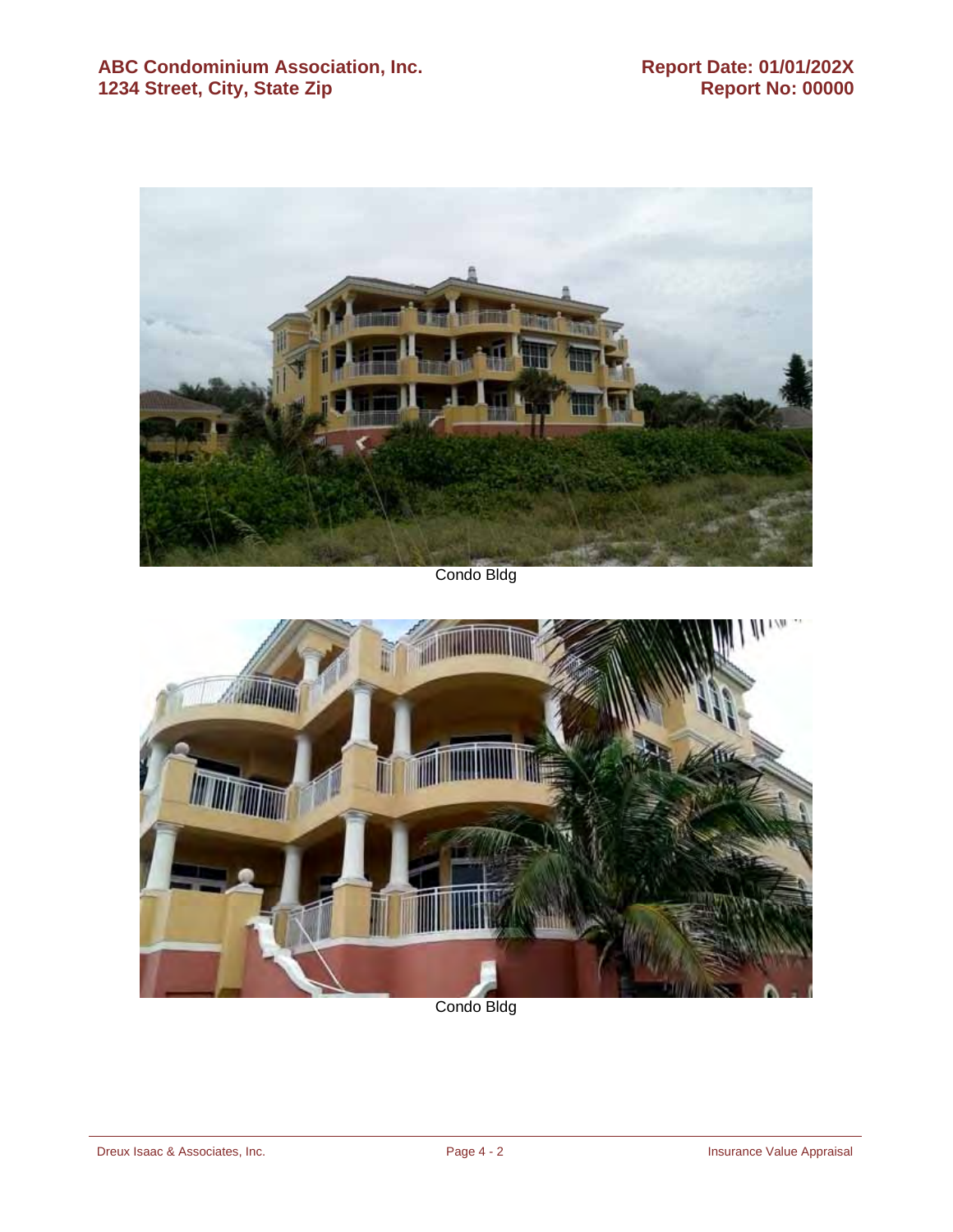

Condo Bldg



Condo Bldg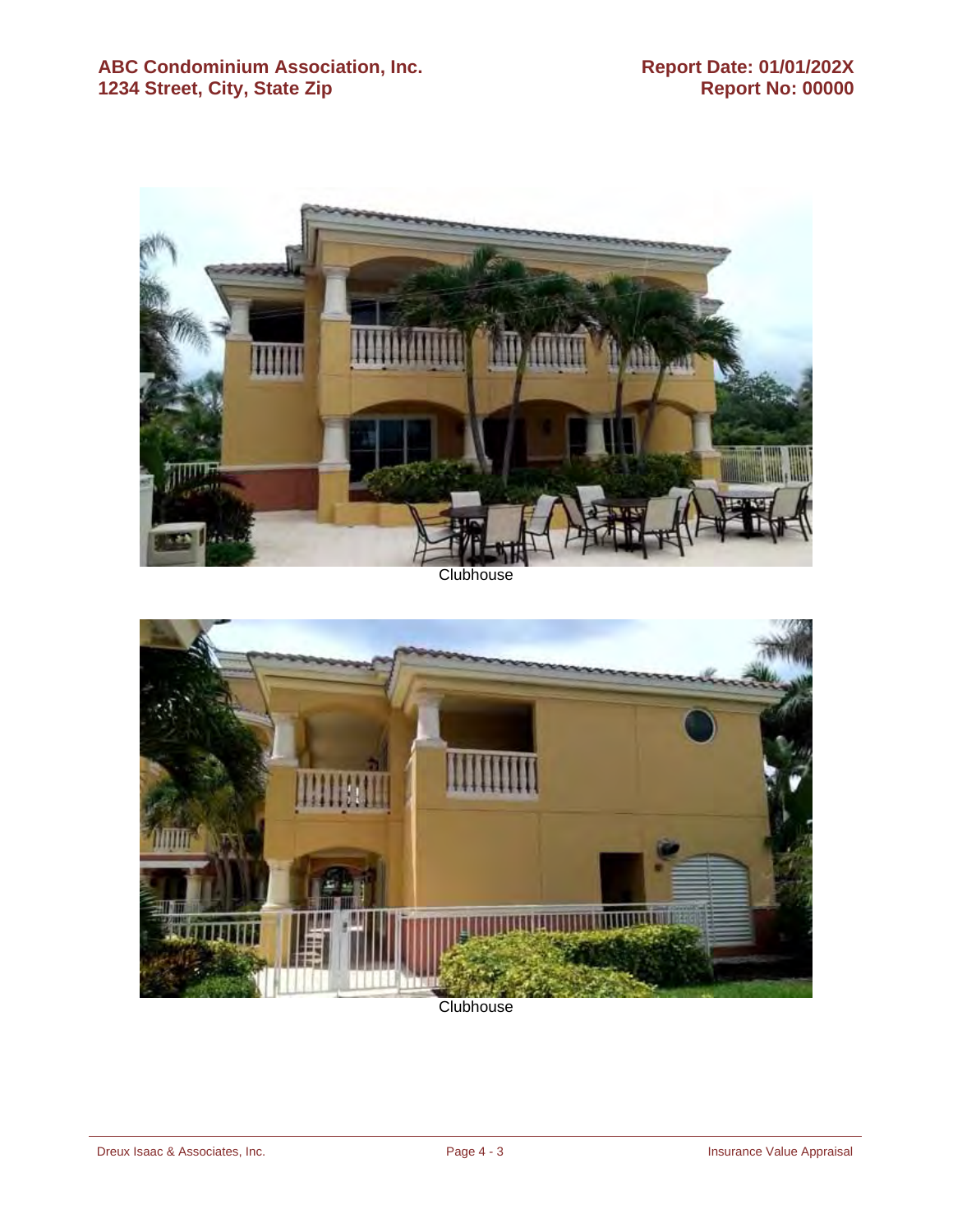

**Clubhouse** 



**Clubhouse**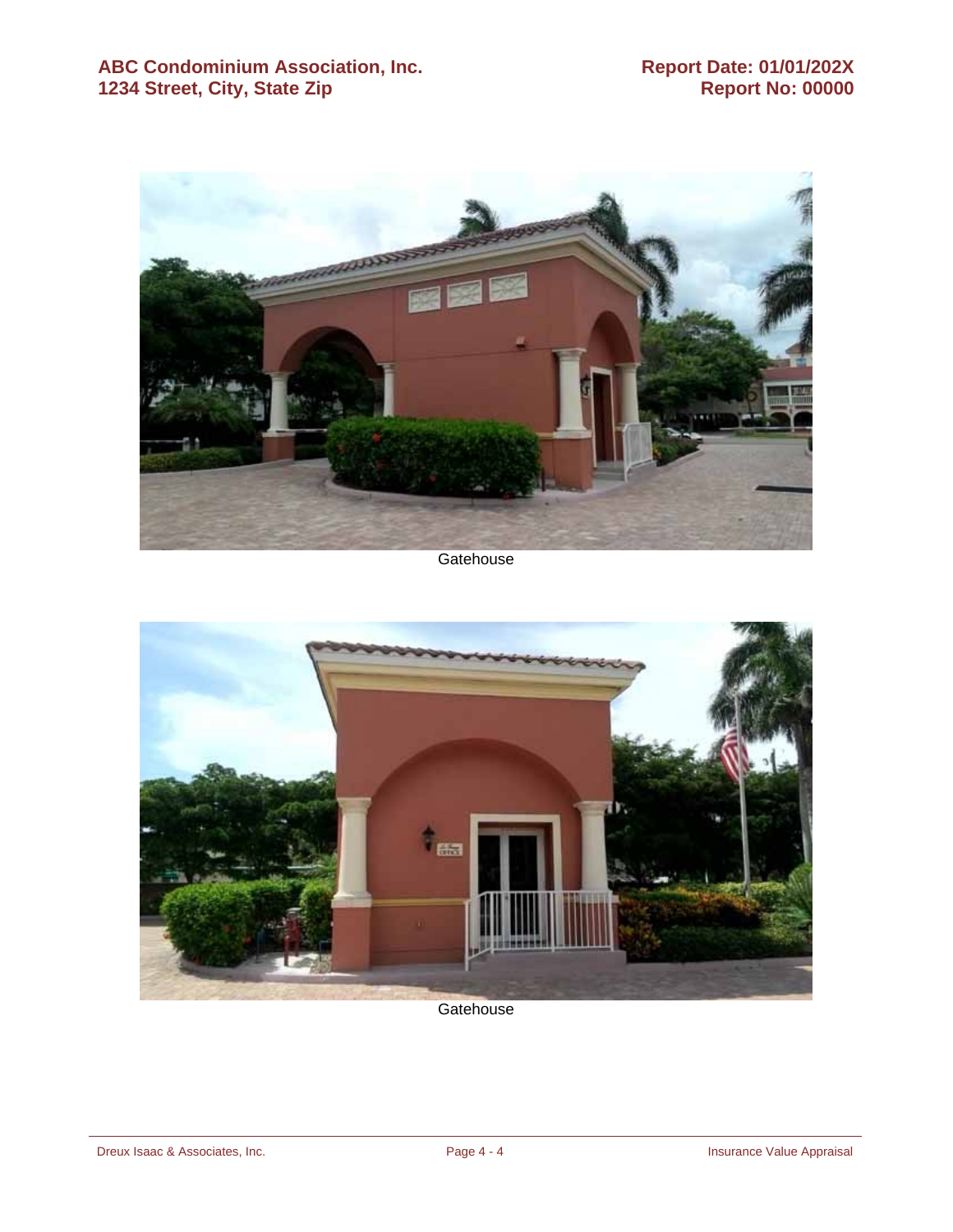

**Gatehouse** 



**Gatehouse**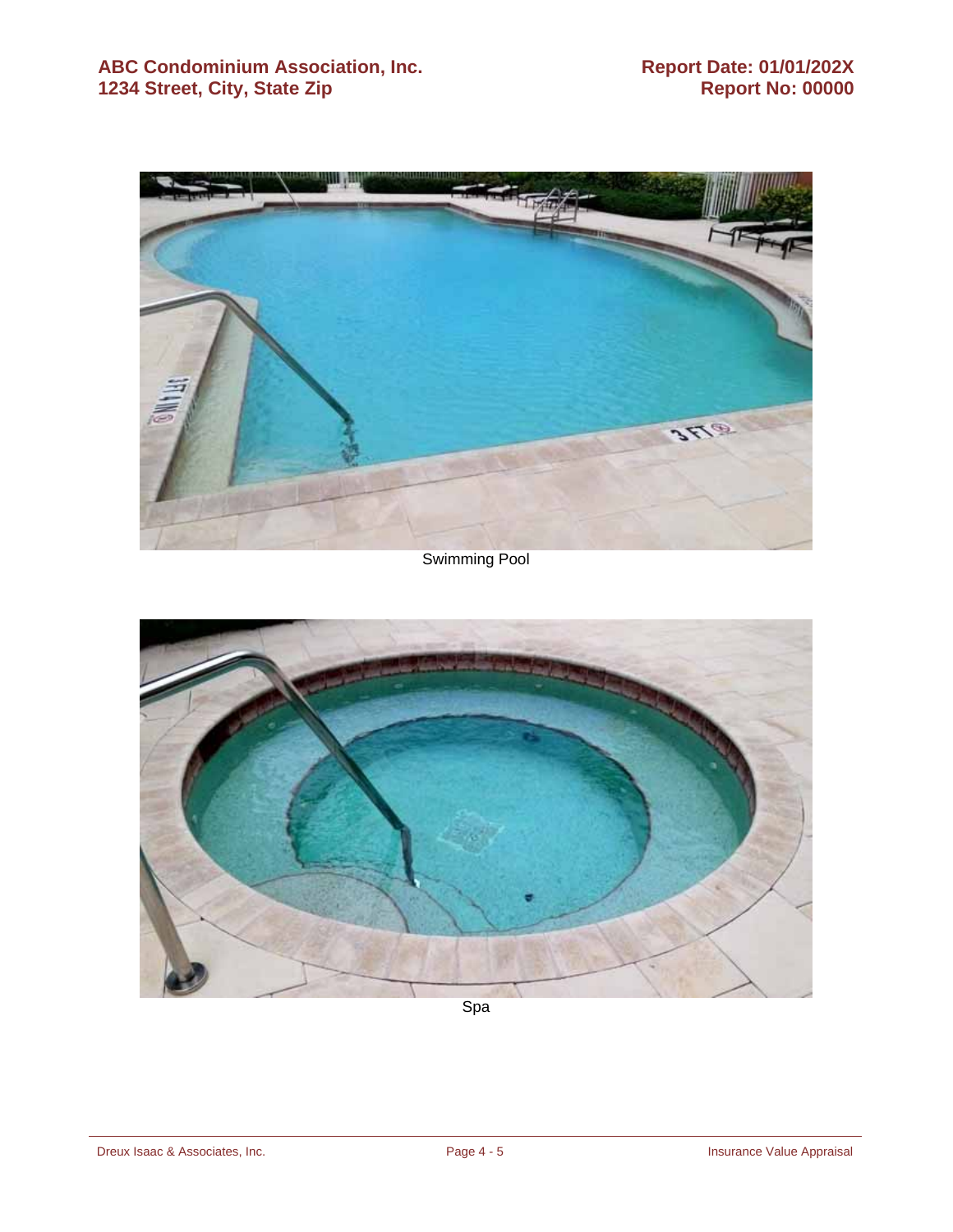

Swimming Pool



Spa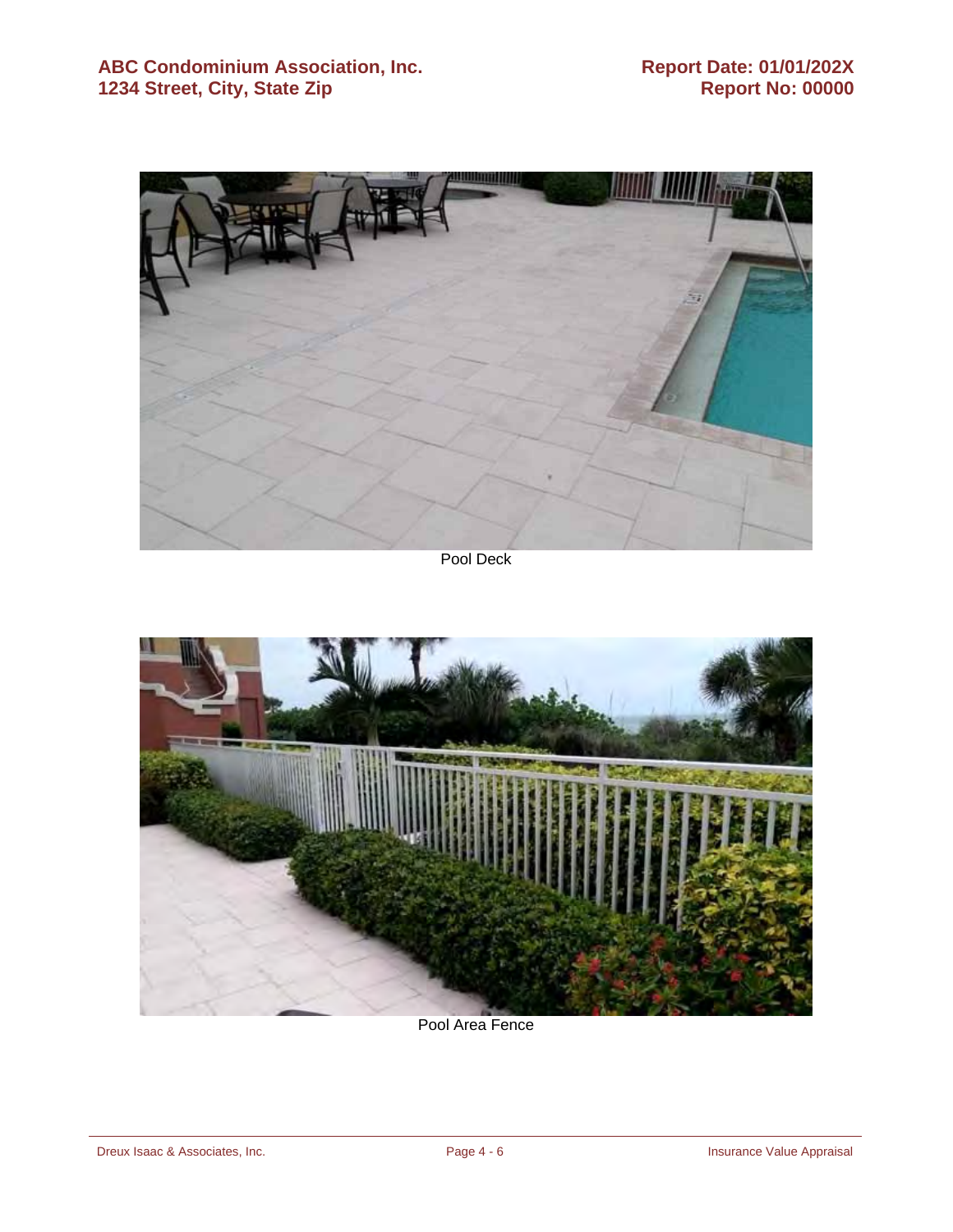

Pool Deck



Pool Area Fence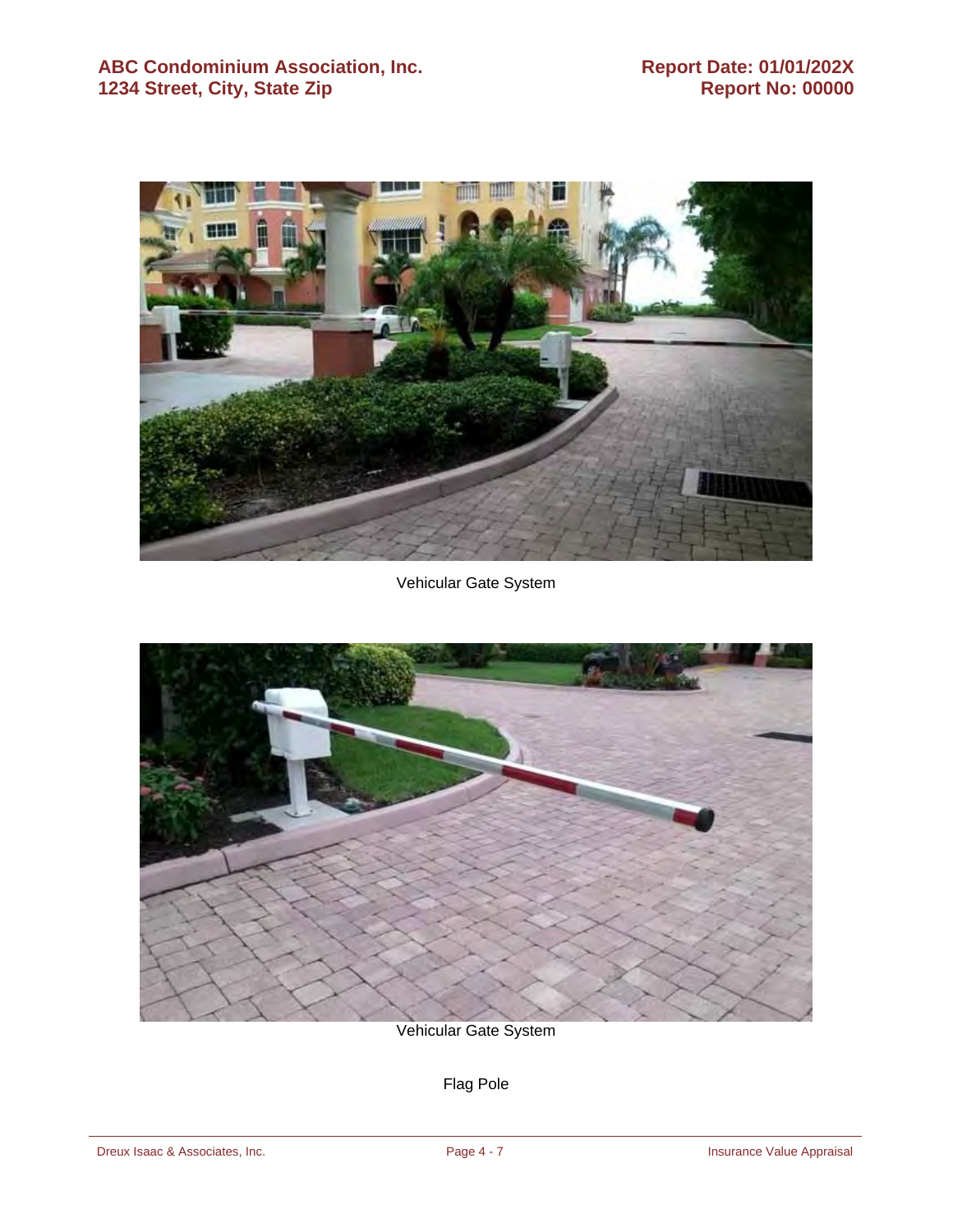

#### Vehicular Gate System



Vehicular Gate System

Flag Pole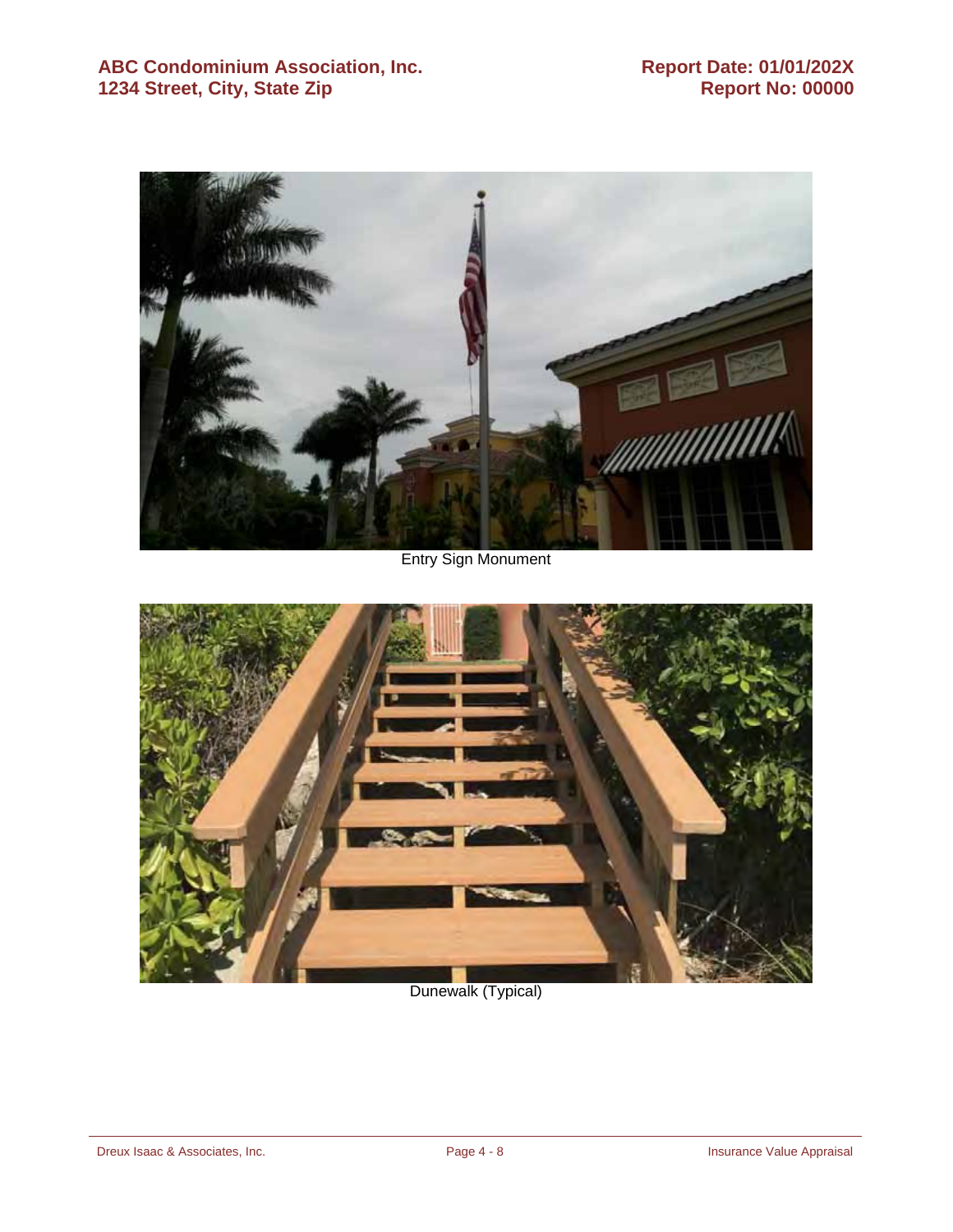

Entry Sign Monument



#### Dunewalk (Typical)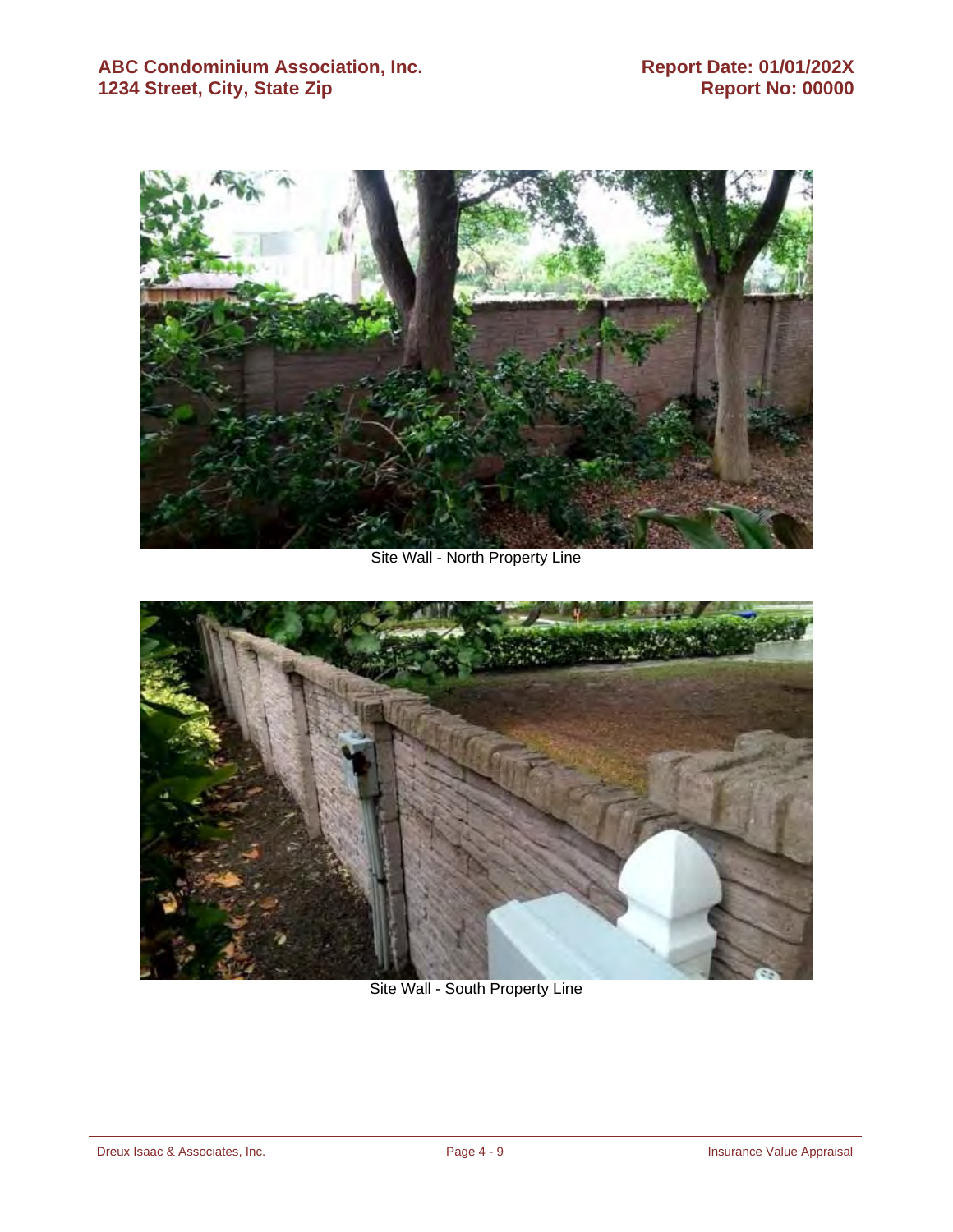

Site Wall - North Property Line



Site Wall - South Property Line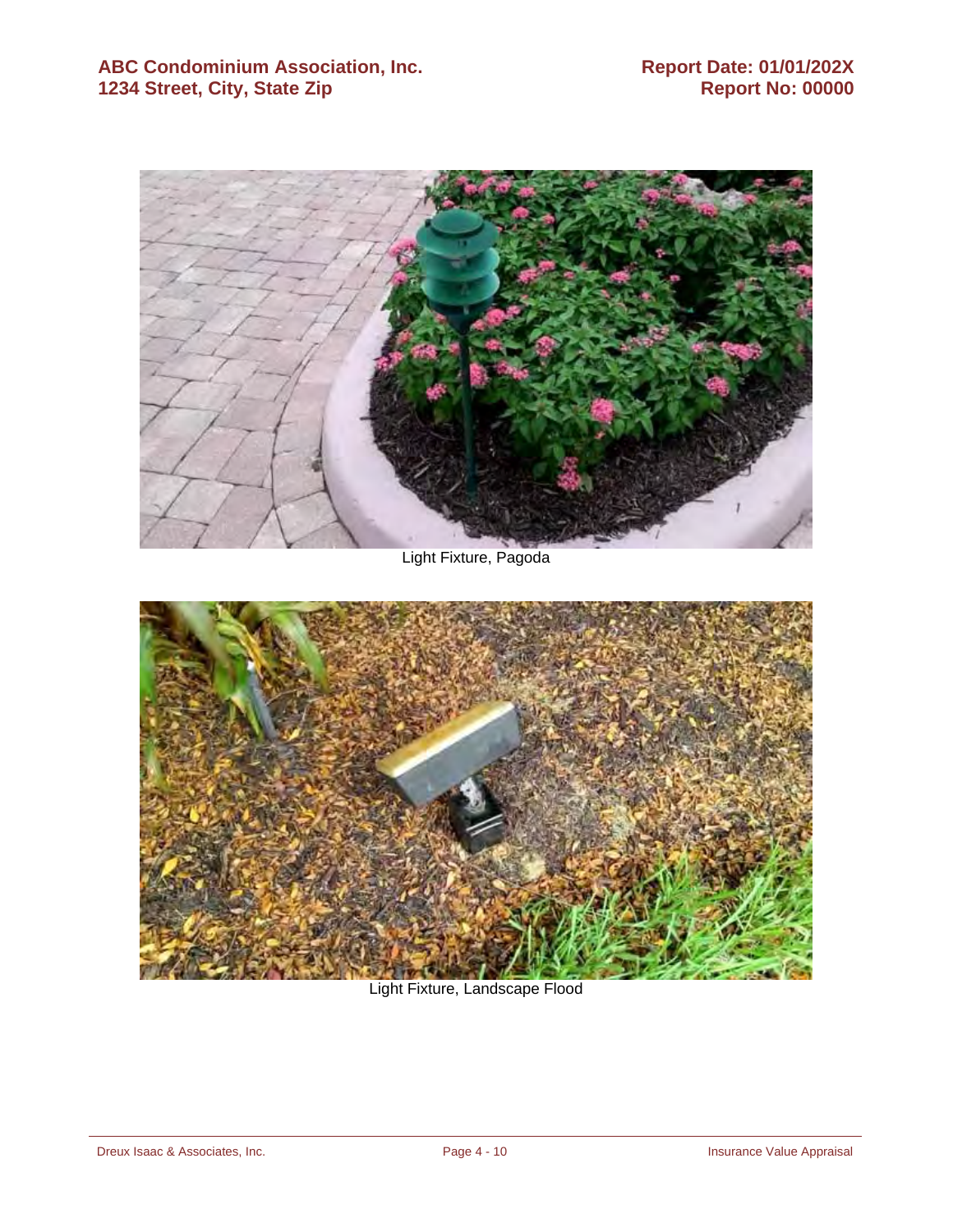

Light Fixture, Pagoda



Light Fixture, Landscape Flood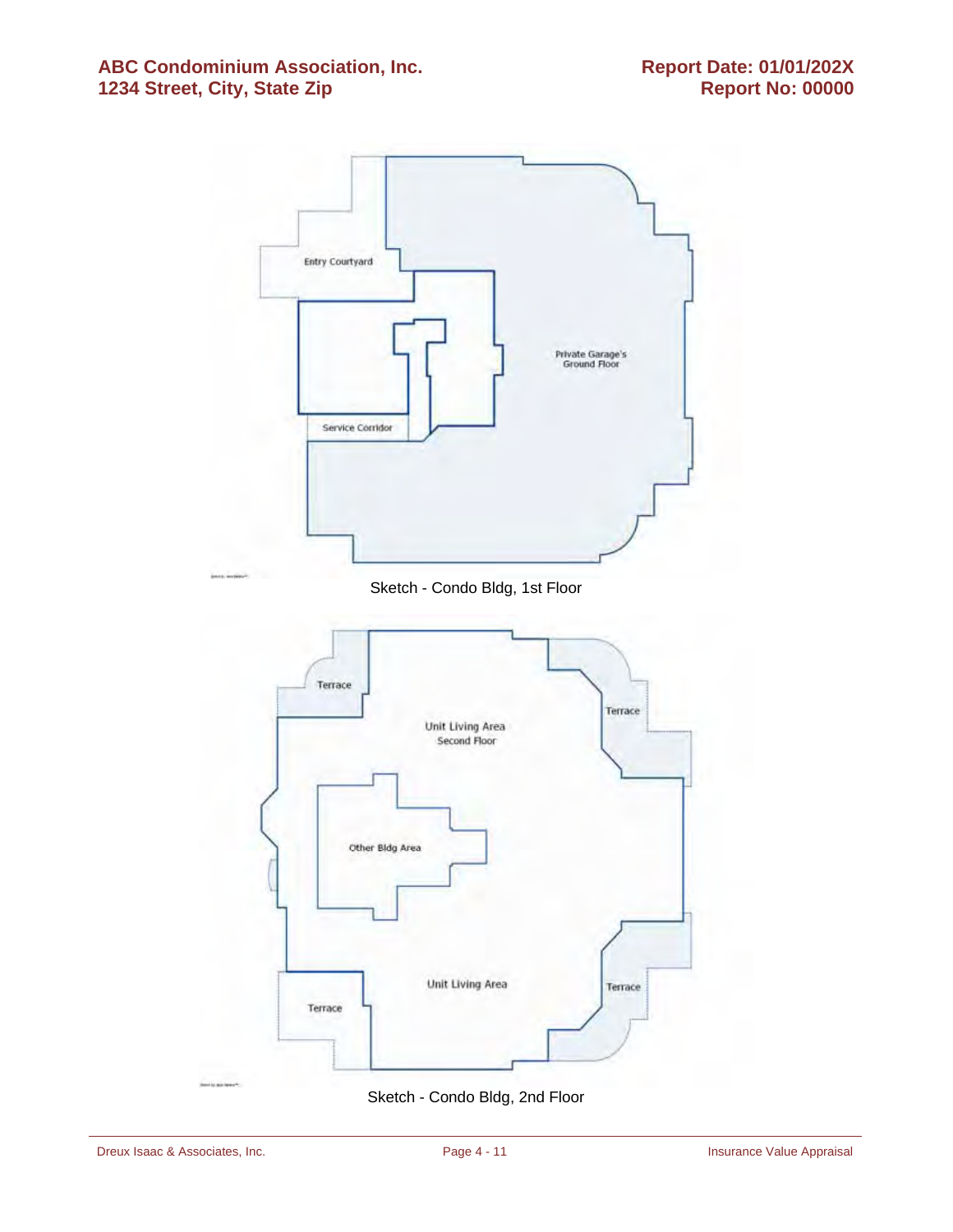#### ABC Condominium Association, Inc. Report Date: 01/01/202X<br>1234 Street, City, State Zip **Report No: 00000 1234 Street, City, State Zip**



Sketch - Condo Bldg, 2nd Floor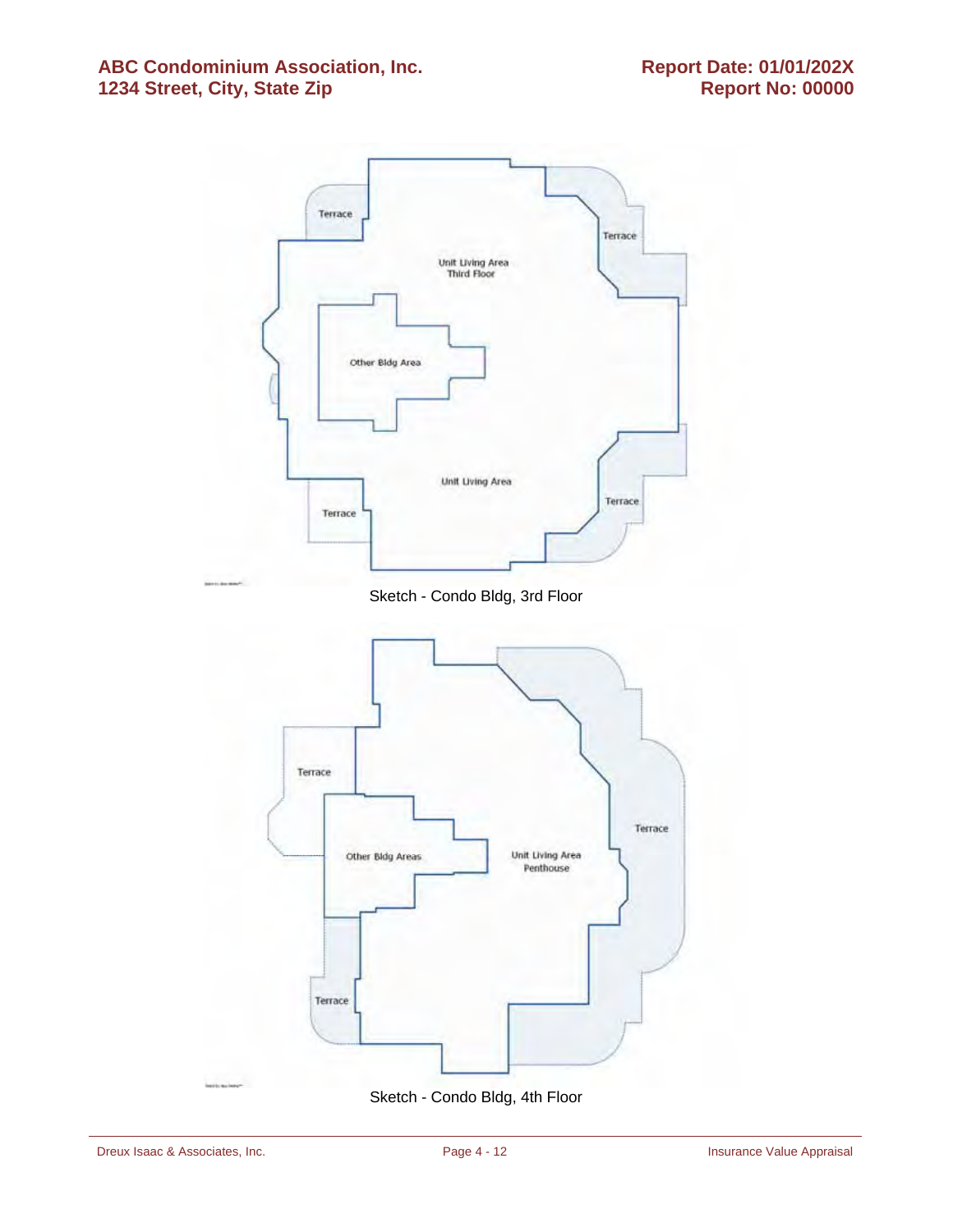#### ABC Condominium Association, Inc. Report Date: 01/01/202X<br>1234 Street, City, State Zip **Report No: 00000 1234 Street, City, State Zip**

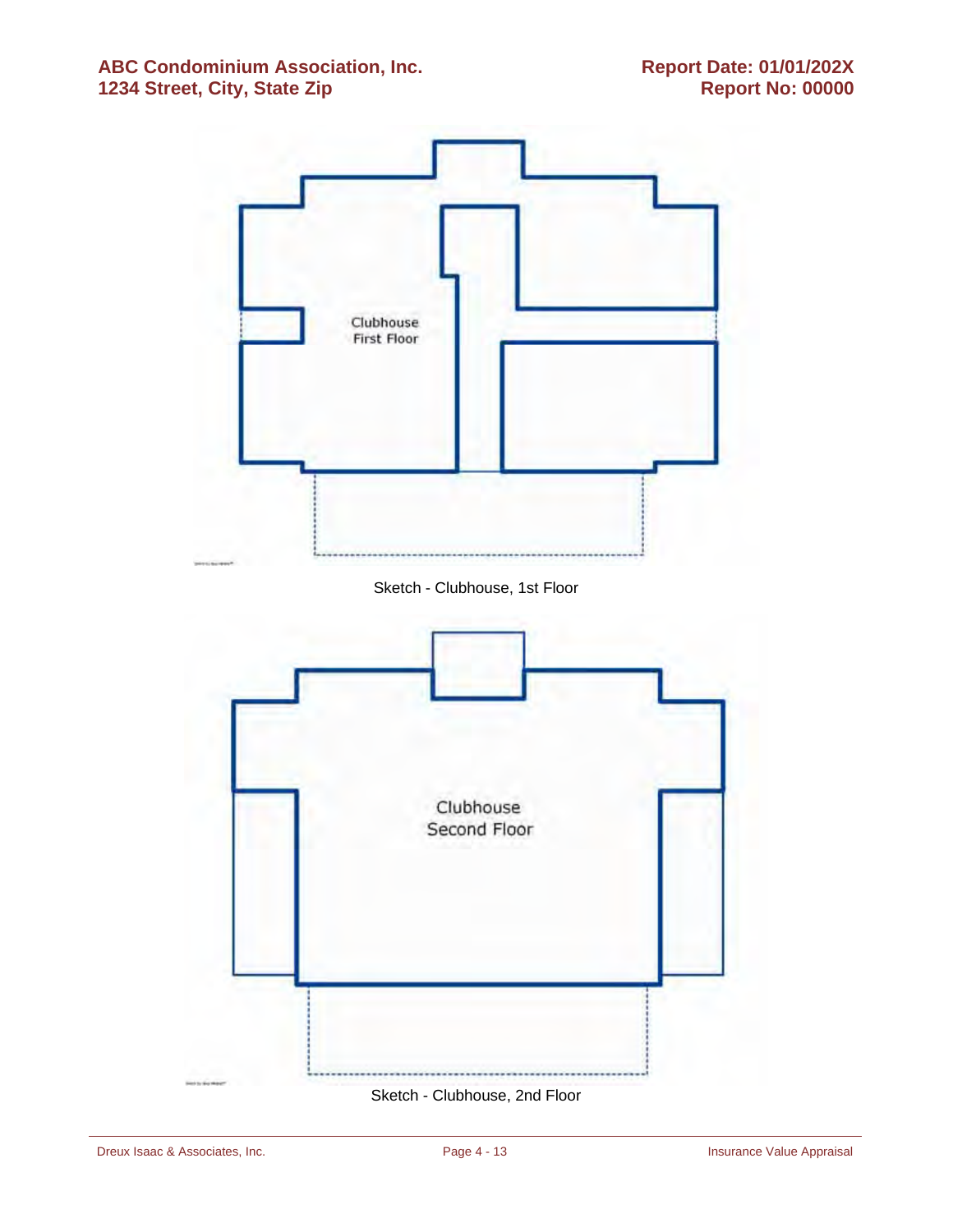#### ABC Condominium Association, Inc.<br>1234 Street, City, State Zip **Report Date: 01/01/202X**<br>Report No: 00000 **1234 Street, City, State Zip**